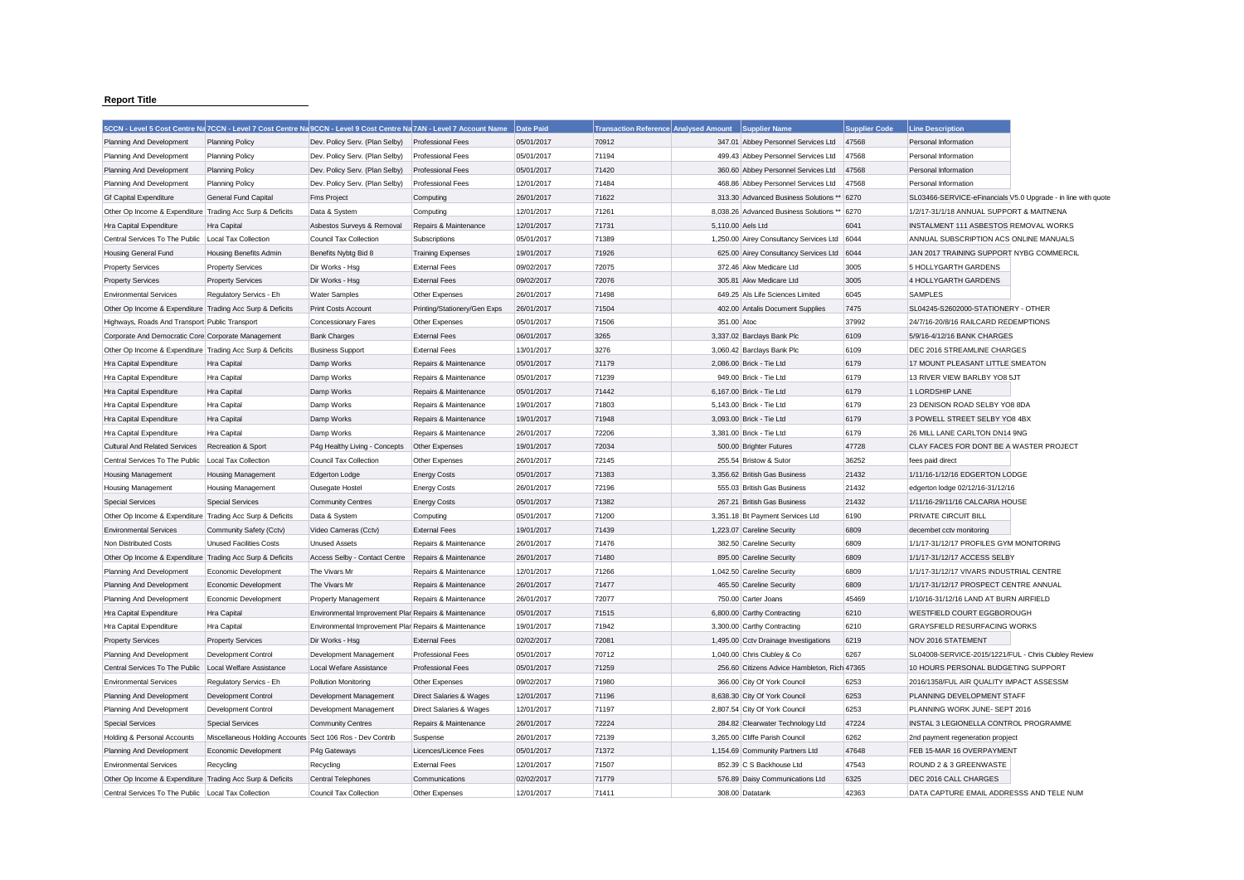## **Report Title**

|                                                           |                                                           | 5CCN - Level 5 Cost Centre Na 7CCN - Level 7 Cost Centre Na 9CCN - Level 9 Cost Centre Na 7AN - Level 7 Account Name |                              | Date Paid  | Transaction Reference Analysed Amount |                   | Supplier Name                                | <b>Supplier Code</b> | <b>Line Description</b>                              |                                                               |
|-----------------------------------------------------------|-----------------------------------------------------------|----------------------------------------------------------------------------------------------------------------------|------------------------------|------------|---------------------------------------|-------------------|----------------------------------------------|----------------------|------------------------------------------------------|---------------------------------------------------------------|
| Planning And Development                                  | <b>Planning Policy</b>                                    | Dev. Policy Serv. (Plan Selby)                                                                                       | <b>Professional Fees</b>     | 05/01/2017 | 70912                                 |                   | 347.01 Abbey Personnel Services Ltd          | 47568                | Personal Information                                 |                                                               |
| Planning And Development                                  | <b>Planning Policy</b>                                    | Dev. Policy Serv. (Plan Selby)                                                                                       | <b>Professional Fees</b>     | 05/01/2017 | 71194                                 |                   | 499.43 Abbey Personnel Services Ltd          | 47568                | Personal Information                                 |                                                               |
| Planning And Development                                  | <b>Planning Policy</b>                                    | Dev. Policy Serv. (Plan Selby)                                                                                       | <b>Professional Fees</b>     | 05/01/2017 | 71420                                 |                   | 360.60 Abbey Personnel Services Ltd          | 47568                | Personal Information                                 |                                                               |
| Planning And Development                                  | <b>Planning Policy</b>                                    | Dev. Policy Serv. (Plan Selby)                                                                                       | <b>Professional Fees</b>     | 12/01/2017 | 71484                                 |                   | 468.86 Abbey Personnel Services Ltd          | 47568                | Personal Information                                 |                                                               |
| <b>Gf Capital Expenditure</b>                             | General Fund Capital                                      | <b>Fms Project</b>                                                                                                   | Computing                    | 26/01/2017 | 71622                                 |                   | 313.30 Advanced Business Solutions ** 6270   |                      |                                                      | SL03466-SERVICE-eFinancials V5.0 Upgrade - in line with quote |
| Other Op Income & Expenditure Trading Acc Surp & Deficits |                                                           | Data & System                                                                                                        | Computing                    | 12/01/2017 | 71261                                 |                   | 8,038.26 Advanced Business Solutions ** 6270 |                      | 1/2/17-31/1/18 ANNUAL SUPPORT & MAITNENA             |                                                               |
| Hra Capital Expenditure                                   | <b>Hra Capital</b>                                        | Asbestos Surveys & Removal                                                                                           | Repairs & Maintenance        | 12/01/2017 | 71731                                 | 5.110.00 Aels Ltd |                                              | 6041                 | INSTALMENT 111 ASBESTOS REMOVAL WORKS                |                                                               |
| Central Services To The Public   Local Tax Collection     |                                                           | Council Tax Collection                                                                                               | Subscriptions                | 05/01/2017 | 71389                                 |                   | 1,250.00 Airey Consultancy Services Ltd 6044 |                      | ANNUAL SUBSCRIPTION ACS ONLINE MANUALS               |                                                               |
| <b>Housing General Fund</b>                               | <b>Housing Benefits Admin</b>                             | Benefits Nybtg Bid 8                                                                                                 | <b>Training Expenses</b>     | 19/01/2017 | 71926                                 |                   | 625.00 Airey Consultancy Services Ltd 6044   |                      | JAN 2017 TRAINING SUPPORT NYBG COMMERCIL             |                                                               |
| <b>Property Services</b>                                  | <b>Property Services</b>                                  | Dir Works - Hsg                                                                                                      | <b>External Fees</b>         | 09/02/2017 | 72075                                 |                   | 372.46 Akw Medicare Ltd                      | 3005                 | 5 HOLLYGARTH GARDENS                                 |                                                               |
| <b>Property Services</b>                                  | <b>Property Services</b>                                  | Dir Works - Hsg                                                                                                      | <b>External Fees</b>         | 09/02/2017 | 72076                                 |                   | 305.81 Akw Medicare Ltd                      | 3005                 | 4 HOLLYGARTH GARDENS                                 |                                                               |
| <b>Environmental Services</b>                             | Regulatory Servics - Eh                                   | <b>Water Samples</b>                                                                                                 | Other Expenses               | 26/01/2017 | 71498                                 |                   | 649.25 Als Life Sciences Limited             | 6045                 | SAMPLES                                              |                                                               |
| Other Op Income & Expenditure Trading Acc Surp & Deficits |                                                           | Print Costs Account                                                                                                  | Printing/Stationery/Gen Exps | 26/01/2017 | 71504                                 |                   | 402.00 Antalis Document Supplies             | 7475                 | SL04245-S2602000-STATIONERY - OTHER                  |                                                               |
| Highways, Roads And Transport Public Transport            |                                                           | <b>Concessionary Fares</b>                                                                                           | Other Expenses               | 05/01/2017 | 71506                                 | 351.00 Atoc       |                                              | 37992                | 24/7/16-20/8/16 RAILCARD REDEMPTIONS                 |                                                               |
| Corporate And Democratic Core Corporate Management        |                                                           | <b>Bank Charges</b>                                                                                                  | <b>External Fees</b>         | 06/01/2017 | 3265                                  |                   | 3,337.02 Barclays Bank Plc                   | 6109                 | 5/9/16-4/12/16 BANK CHARGES                          |                                                               |
| Other Op Income & Expenditure Trading Acc Surp & Deficits |                                                           | <b>Business Support</b>                                                                                              | <b>External Fees</b>         | 13/01/2017 | 3276                                  |                   | 3,060.42 Barclays Bank Plc                   | 6109                 | DEC 2016 STREAMLINE CHARGES                          |                                                               |
| Hra Capital Expenditure                                   | <b>Hra Capital</b>                                        | Damp Works                                                                                                           | Repairs & Maintenance        | 05/01/2017 | 71179                                 |                   | 2,086.00 Brick - Tie Ltd                     | 6179                 | 17 MOUNT PLEASANT LITTLE SMEATON                     |                                                               |
| Hra Capital Expenditure                                   | <b>Hra Capital</b>                                        | Damp Works                                                                                                           | Repairs & Maintenance        | 05/01/2017 | 71239                                 |                   | 949.00 Brick - Tie Ltd                       | 6179                 | 13 RIVER VIEW BARLBY YO8 5JT                         |                                                               |
| Hra Capital Expenditure                                   | <b>Hra Capital</b>                                        | Damp Works                                                                                                           | Repairs & Maintenance        | 05/01/2017 | 71442                                 |                   | 6,167.00 Brick - Tie Ltd                     | 6179                 | 1 LORDSHIP LANE                                      |                                                               |
| Hra Capital Expenditure                                   | <b>Hra Capital</b>                                        | Damp Works                                                                                                           | Repairs & Maintenance        | 19/01/2017 | 71803                                 |                   | 5.143.00 Brick - Tie Ltd                     | 6179                 | 23 DENISON ROAD SELBY YO8 8DA                        |                                                               |
| Hra Capital Expenditure                                   | Hra Capital                                               | Damp Works                                                                                                           | Repairs & Maintenance        | 19/01/2017 | 71948                                 |                   | 3,093.00 Brick - Tie Ltd                     | 6179                 | 3 POWELL STREET SELBY YO8 4BX                        |                                                               |
| Hra Capital Expenditure                                   | Hra Capital                                               | Damp Works                                                                                                           | Repairs & Maintenance        | 26/01/2017 | 72206                                 |                   | 3.381.00 Brick - Tie Ltd                     | 6179                 | 26 MILL LANE CARLTON DN14 9NG                        |                                                               |
| <b>Cultural And Related Services</b>                      | Recreation & Sport                                        | P4g Healthy Living - Concepts                                                                                        | Other Expenses               | 19/01/2017 | 72034                                 |                   | 500.00 Brighter Futures                      | 47728                | CLAY FACES FOR DONT BE A WASTER PROJECT              |                                                               |
| Central Services To The Public                            | Local Tax Collection                                      | Council Tax Collection                                                                                               | Other Expenses               | 26/01/2017 | 72145                                 |                   | 255.54 Bristow & Sutor                       | 36252                | fees paid direct                                     |                                                               |
| Housing Management                                        | <b>Housing Management</b>                                 | Edgerton Lodge                                                                                                       | <b>Energy Costs</b>          | 05/01/2017 | 71383                                 |                   | 3,356.62 British Gas Business                | 21432                | 1/11/16-1/12/16 EDGERTON LODGE                       |                                                               |
| Housing Management                                        | <b>Housing Management</b>                                 | Ousegate Hostel                                                                                                      | <b>Energy Costs</b>          | 26/01/2017 | 72196                                 |                   | 555.03 British Gas Business                  | 21432                | edgerton lodge 02/12/16-31/12/16                     |                                                               |
| <b>Special Services</b>                                   | <b>Special Services</b>                                   | <b>Community Centres</b>                                                                                             | <b>Energy Costs</b>          | 05/01/2017 | 71382                                 |                   | 267.21 British Gas Business                  | 21432                | 1/11/16-29/11/16 CALCARIA HOUSE                      |                                                               |
| Other Op Income & Expenditure Trading Acc Surp & Deficits |                                                           | Data & System                                                                                                        | Computing                    | 05/01/2017 | 71200                                 |                   | 3,351.18 Bt Payment Services Ltd             | 6190                 | PRIVATE CIRCUIT BILL                                 |                                                               |
| <b>Environmental Services</b>                             | Community Safety (Cctv)                                   | Video Cameras (Cctv)                                                                                                 | <b>External Fees</b>         | 19/01/2017 | 71439                                 |                   | 1.223.07 Careline Security                   | 6809                 | decembet cctv monitoring                             |                                                               |
| Non Distributed Costs                                     | <b>Unused Facilities Costs</b>                            | <b>Unused Assets</b>                                                                                                 | Repairs & Maintenance        | 26/01/2017 | 71476                                 |                   | 382.50 Careline Security                     | 6809                 | 1/1/17-31/12/17 PROFILES GYM MONITORING              |                                                               |
| Other Op Income & Expenditure Trading Acc Surp & Deficits |                                                           | Access Selby - Contact Centre Repairs & Maintenance                                                                  |                              | 26/01/2017 | 71480                                 |                   | 895.00 Careline Security                     | 6809                 | 1/1/17-31/12/17 ACCESS SELBY                         |                                                               |
| Planning And Development                                  | Economic Development                                      | The Vivars Mr                                                                                                        | Repairs & Maintenance        | 12/01/2017 | 71266                                 |                   | 1,042.50 Careline Security                   | 6809                 | 1/1/17-31/12/17 VIVARS INDUSTRIAL CENTRE             |                                                               |
| Planning And Development                                  | Economic Development                                      | The Vivars Mr                                                                                                        | Repairs & Maintenance        | 26/01/2017 | 71477                                 |                   | 465.50 Careline Security                     | 6809                 | 1/1/17-31/12/17 PROSPECT CENTRE ANNUAL               |                                                               |
| Planning And Development                                  | Economic Development                                      | <b>Property Management</b>                                                                                           | Repairs & Maintenance        | 26/01/2017 | 72077                                 |                   | 750.00 Carter Joans                          | 45469                | 1/10/16-31/12/16 LAND AT BURN AIRFIELD               |                                                               |
| Hra Capital Expenditure                                   | <b>Hra Capital</b>                                        | Environmental Improvement Plar Repairs & Maintenance                                                                 |                              | 05/01/2017 | 71515                                 |                   | 6,800.00 Carthy Contracting                  | 6210                 | WESTFIELD COURT EGGBOROUGH                           |                                                               |
| Hra Capital Expenditure                                   | <b>Hra Capital</b>                                        | Environmental Improvement Plar Repairs & Maintenance                                                                 |                              | 19/01/2017 | 71942                                 |                   | 3,300.00 Carthy Contracting                  | 6210                 | GRAYSFIELD RESURFACING WORKS                         |                                                               |
| <b>Property Services</b>                                  | <b>Property Services</b>                                  | Dir Works - Hsg                                                                                                      | <b>External Fees</b>         | 02/02/2017 | 72081                                 |                   | 1,495.00 Cctv Drainage Investigations        | 6219                 | <b>NOV 2016 STATEMENT</b>                            |                                                               |
| Planning And Development                                  | Development Control                                       | Development Management                                                                                               | Professional Fees            | 05/01/2017 | 70712                                 |                   | 1,040.00 Chris Clubley & Co                  | 6267                 | SL04008-SERVICE-2015/1221/FUL - Chris Clubley Review |                                                               |
| Central Services To The Public                            | Local Welfare Assistance                                  | Local Wefare Assistance                                                                                              | <b>Professional Fees</b>     | 05/01/2017 | 71259                                 |                   | 256.60 Citizens Advice Hambleton, Rich 47365 |                      | 10 HOURS PERSONAL BUDGETING SUPPORT                  |                                                               |
| <b>Environmental Services</b>                             | Regulatory Servics - Eh                                   | Pollution Monitoring                                                                                                 | Other Expenses               | 09/02/2017 | 71980                                 |                   | 366.00 City Of York Council                  | 6253                 | 2016/1358/FUL AIR QUALITY IMPACT ASSESSM             |                                                               |
| Planning And Development                                  | Development Control                                       | Development Management                                                                                               | Direct Salaries & Wages      | 12/01/2017 | 71196                                 |                   | 8,638.30 City Of York Council                | 6253                 | PLANNING DEVELOPMENT STAFF                           |                                                               |
| Planning And Development                                  | Development Control                                       | Development Management                                                                                               | Direct Salaries & Wages      | 12/01/2017 | 71197                                 |                   | 2,807.54 City Of York Council                | 6253                 | PLANNING WORK JUNE- SEPT 2016                        |                                                               |
| <b>Special Services</b>                                   | <b>Special Services</b>                                   | <b>Community Centres</b>                                                                                             | Repairs & Maintenance        | 26/01/2017 | 72224                                 |                   | 284.82 Clearwater Technology Ltd             | 47224                | INSTAL 3 LEGIONELLA CONTROL PROGRAMME                |                                                               |
| Holding & Personal Accounts                               | Miscellaneous Holding Accounts Sect 106 Ros - Dev Contrib |                                                                                                                      | Suspense                     | 26/01/2017 | 72139                                 |                   | 3,265.00 Cliffe Parish Council               | 6262                 | 2nd payment regeneration propject                    |                                                               |
| Planning And Development                                  | Economic Development                                      | P4g Gateways                                                                                                         | Licences/Licence Fees        | 05/01/2017 | 71372                                 |                   | 1,154.69 Community Partners Ltd              | 47648                | FEB 15-MAR 16 OVERPAYMENT                            |                                                               |
| <b>Environmental Services</b>                             | Recycling                                                 | Recycling                                                                                                            | <b>External Fees</b>         | 12/01/2017 | 71507                                 |                   | 852.39 C S Backhouse Ltd                     | 47543                | ROUND 2 & 3 GREENWASTE                               |                                                               |
| Other Op Income & Expenditure Trading Acc Surp & Deficits |                                                           | Central Telephones                                                                                                   | Communications               | 02/02/2017 | 71779                                 |                   | 576.89 Daisy Communications Ltd              | 6325                 | DEC 2016 CALL CHARGES                                |                                                               |
| Central Services To The Public   Local Tax Collection     |                                                           | Council Tax Collection                                                                                               | Other Expenses               | 12/01/2017 | 71411                                 |                   | 308.00 Datatank                              | 42363                | DATA CAPTURE EMAIL ADDRESSS AND TELE NUM             |                                                               |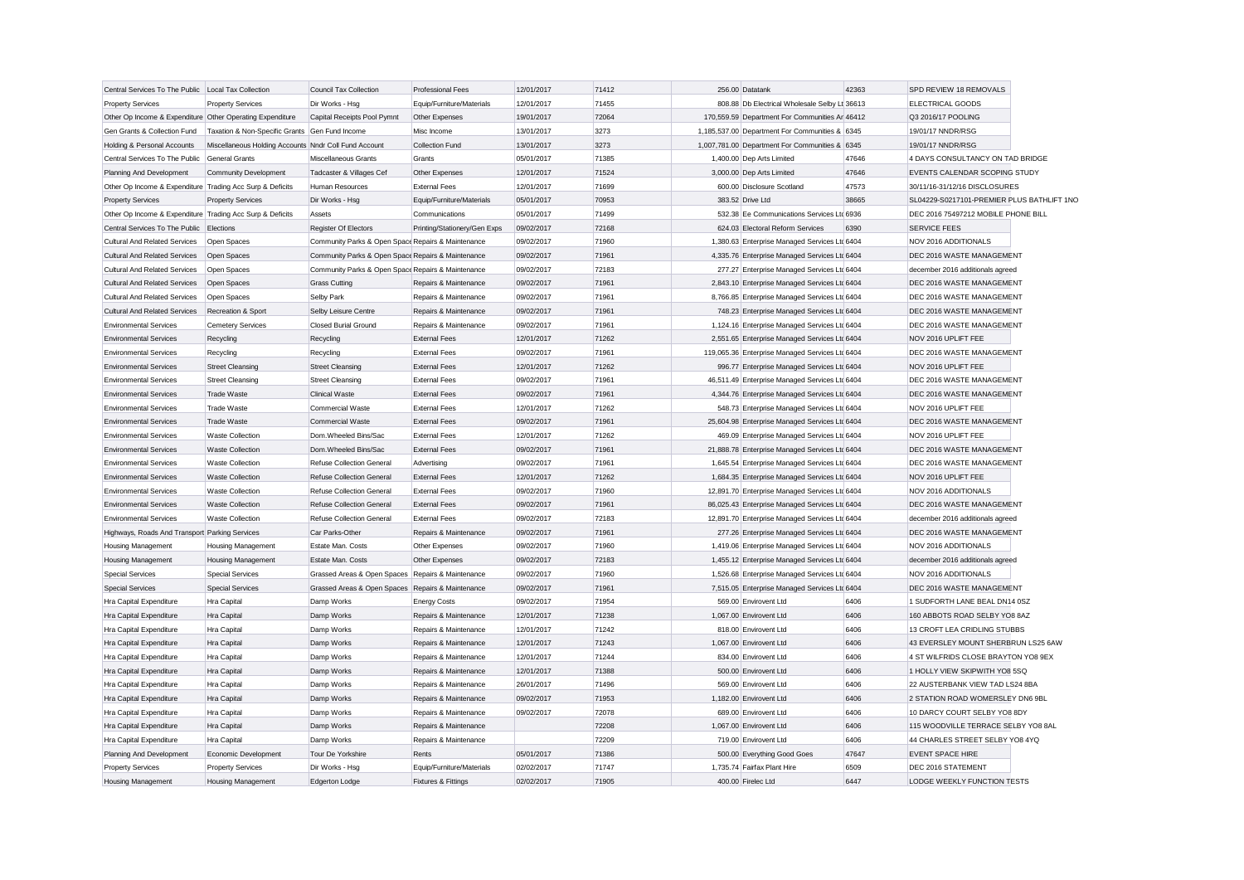| Central Services To The Public Local Tax Collection       |                                                       | <b>Council Tax Collection</b>                      | <b>Professional Fees</b>     | 12/01/2017 | 71412 | 256.00 Datatank                                 | 42363 | SPD REVIEW 18 REMOVALS                     |  |
|-----------------------------------------------------------|-------------------------------------------------------|----------------------------------------------------|------------------------------|------------|-------|-------------------------------------------------|-------|--------------------------------------------|--|
| <b>Property Services</b>                                  | <b>Property Services</b>                              | Dir Works - Hsg                                    | Equip/Furniture/Materials    | 12/01/2017 | 71455 | 808.88 Db Electrical Wholesale Selby Lt 36613   |       | ELECTRICAL GOODS                           |  |
| Other Op Income & Expenditure Other Operating Expenditure |                                                       | Capital Receipts Pool Pymnt                        | Other Expenses               | 19/01/2017 | 72064 | 170,559.59 Department For Communities Ar 46412  |       | Q3 2016/17 POOLING                         |  |
| Gen Grants & Collection Fund                              | Taxation & Non-Specific Grants Gen Fund Income        |                                                    | Misc Income                  | 13/01/2017 | 3273  | 1,185,537.00 Department For Communities & 6345  |       | 19/01/17 NNDR/RSG                          |  |
| Holding & Personal Accounts                               | Miscellaneous Holding Accounts Nndr Coll Fund Account |                                                    | Collection Fund              | 13/01/2017 | 3273  | 1,007,781.00 Department For Communities & 6345  |       | 19/01/17 NNDR/RSG                          |  |
| Central Services To The Public General Grants             |                                                       | Miscellaneous Grants                               | Grants                       | 05/01/2017 | 71385 | 1,400.00 Dep Arts Limited                       | 47646 | 4 DAYS CONSULTANCY ON TAD BRIDGE           |  |
| Planning And Development                                  | <b>Community Development</b>                          | Tadcaster & Villages Cef                           | Other Expenses               | 12/01/2017 | 71524 | 3,000.00 Dep Arts Limited                       | 47646 | EVENTS CALENDAR SCOPING STUDY              |  |
| Other Op Income & Expenditure Trading Acc Surp & Deficits |                                                       | Human Resources                                    | <b>External Fees</b>         | 12/01/2017 | 71699 | 600.00 Disclosure Scotland                      | 47573 | 30/11/16-31/12/16 DISCLOSURES              |  |
| <b>Property Services</b>                                  | <b>Property Services</b>                              | Dir Works - Hsg                                    | Equip/Furniture/Materials    | 05/01/2017 | 70953 | 383.52 Drive Ltd                                | 38665 | SL04229-S0217101-PREMIER PLUS BATHLIFT 1NO |  |
| Other Op Income & Expenditure Trading Acc Surp & Deficits |                                                       | Assets                                             | Communications               | 05/01/2017 | 71499 | 532.38 Ee Communications Services Ltd 6936      |       | DEC 2016 75497212 MOBILE PHONE BILL        |  |
| Central Services To The Public Elections                  |                                                       | <b>Register Of Electors</b>                        | Printing/Stationery/Gen Exps | 09/02/2017 | 72168 | 624.03 Electoral Reform Services                | 6390  | <b>SERVICE FEES</b>                        |  |
| <b>Cultural And Related Services</b>                      | Open Spaces                                           | Community Parks & Open Space Repairs & Maintenance |                              | 09/02/2017 | 71960 | 1,380.63 Enterprise Managed Services Ltd 6404   |       | NOV 2016 ADDITIONALS                       |  |
| Cultural And Related Services                             | Open Spaces                                           | Community Parks & Open Space Repairs & Maintenance |                              | 09/02/2017 | 71961 | 4,335.76 Enterprise Managed Services Ltd 6404   |       | DEC 2016 WASTE MANAGEMENT                  |  |
| <b>Cultural And Related Services</b>                      | Open Spaces                                           | Community Parks & Open Space Repairs & Maintenance |                              | 09/02/2017 | 72183 | 277.27 Enterprise Managed Services Ltd 6404     |       | december 2016 additionals agreed           |  |
| <b>Cultural And Related Services</b>                      | Open Spaces                                           | <b>Grass Cutting</b>                               | Repairs & Maintenance        | 09/02/2017 | 71961 | 2,843.10 Enterprise Managed Services Ltd 6404   |       | DEC 2016 WASTE MANAGEMENT                  |  |
| <b>Cultural And Related Services</b>                      | Open Spaces                                           | Selby Park                                         | Repairs & Maintenance        | 09/02/2017 | 71961 | 8.766.85 Enterprise Managed Services Ltd 6404   |       | DEC 2016 WASTE MANAGEMENT                  |  |
| <b>Cultural And Related Services</b>                      | Recreation & Sport                                    | Selby Leisure Centre                               | Repairs & Maintenance        | 09/02/2017 | 71961 | 748.23 Enterprise Managed Services Ltc 6404     |       | DEC 2016 WASTE MANAGEMENT                  |  |
| <b>Environmental Services</b>                             | <b>Cemetery Services</b>                              | Closed Burial Ground                               | Repairs & Maintenance        | 09/02/2017 | 71961 | 1,124.16 Enterprise Managed Services Ltd 6404   |       | DEC 2016 WASTE MANAGEMENT                  |  |
| <b>Environmental Services</b>                             | Recycling                                             | Recycling                                          | <b>External Fees</b>         | 12/01/2017 | 71262 | 2,551.65 Enterprise Managed Services Ltd 6404   |       | NOV 2016 UPLIFT FEE                        |  |
| <b>Environmental Services</b>                             | Recycling                                             | Recycling                                          | <b>External Fees</b>         | 09/02/2017 | 71961 | 119,065.36 Enterprise Managed Services Ltd 6404 |       | DEC 2016 WASTE MANAGEMENT                  |  |
| <b>Environmental Services</b>                             | <b>Street Cleansing</b>                               | <b>Street Cleansing</b>                            | <b>External Fees</b>         | 12/01/2017 | 71262 | 996.77 Enterprise Managed Services Ltc 6404     |       | NOV 2016 UPLIFT FEE                        |  |
| <b>Environmental Services</b>                             | <b>Street Cleansing</b>                               | <b>Street Cleansing</b>                            | <b>External Fees</b>         | 09/02/2017 | 71961 | 46,511.49 Enterprise Managed Services Ltd 6404  |       | DEC 2016 WASTE MANAGEMENT                  |  |
| <b>Environmental Services</b>                             | <b>Trade Waste</b>                                    | <b>Clinical Waste</b>                              | <b>External Fees</b>         | 09/02/2017 | 71961 | 4,344.76 Enterprise Managed Services Ltd 6404   |       | DEC 2016 WASTE MANAGEMENT                  |  |
| <b>Environmental Services</b>                             | <b>Trade Waste</b>                                    | <b>Commercial Waste</b>                            | <b>External Fees</b>         | 12/01/2017 | 71262 | 548.73 Enterprise Managed Services Ltd 6404     |       | NOV 2016 UPLIFT FEE                        |  |
| <b>Environmental Services</b>                             | <b>Trade Waste</b>                                    | <b>Commercial Waste</b>                            | <b>External Fees</b>         | 09/02/2017 | 71961 | 25,604.98 Enterprise Managed Services Ltd 6404  |       | DEC 2016 WASTE MANAGEMENT                  |  |
| <b>Environmental Services</b>                             | <b>Waste Collection</b>                               | Dom.Wheeled Bins/Sac                               | <b>External Fees</b>         | 12/01/2017 | 71262 | 469.09 Enterprise Managed Services Ltd 6404     |       | NOV 2016 UPLIFT FEE                        |  |
| <b>Environmental Services</b>                             | <b>Waste Collection</b>                               | Dom.Wheeled Bins/Sac                               | <b>External Fees</b>         | 09/02/2017 | 71961 | 21,888.78 Enterprise Managed Services Ltd 6404  |       | DEC 2016 WASTE MANAGEMENT                  |  |
| <b>Environmental Services</b>                             | <b>Waste Collection</b>                               | Refuse Collection General                          | Advertising                  | 09/02/2017 | 71961 | 1,645.54 Enterprise Managed Services Ltd 6404   |       | DEC 2016 WASTE MANAGEMENT                  |  |
| <b>Environmental Services</b>                             | <b>Waste Collection</b>                               | <b>Refuse Collection General</b>                   | <b>External Fees</b>         | 12/01/2017 | 71262 | 1,684.35 Enterprise Managed Services Ltd 6404   |       | NOV 2016 UPLIFT FEE                        |  |
| <b>Environmental Services</b>                             | <b>Waste Collection</b>                               | Refuse Collection General                          | <b>External Fees</b>         | 09/02/2017 | 71960 | 12,891.70 Enterprise Managed Services Ltd 6404  |       | NOV 2016 ADDITIONALS                       |  |
| <b>Environmental Services</b>                             | <b>Waste Collection</b>                               | Refuse Collection General                          | <b>External Fees</b>         | 09/02/2017 | 71961 | 86,025.43 Enterprise Managed Services Ltd 6404  |       | DEC 2016 WASTE MANAGEMENT                  |  |
| <b>Environmental Services</b>                             | <b>Waste Collection</b>                               | <b>Refuse Collection General</b>                   | <b>External Fees</b>         | 09/02/2017 | 72183 | 12,891.70 Enterprise Managed Services Ltd 6404  |       | december 2016 additionals agreed           |  |
| Highways, Roads And Transport Parking Services            |                                                       | Car Parks-Other                                    | Repairs & Maintenance        | 09/02/2017 | 71961 | 277.26 Enterprise Managed Services Ltc 6404     |       | DEC 2016 WASTE MANAGEMENT                  |  |
| <b>Housing Management</b>                                 | <b>Housing Management</b>                             | Estate Man. Costs                                  | Other Expenses               | 09/02/2017 | 71960 | 1,419.06 Enterprise Managed Services Ltd 6404   |       | NOV 2016 ADDITIONALS                       |  |
| <b>Housing Management</b>                                 | <b>Housing Management</b>                             | Estate Man. Costs                                  | Other Expenses               | 09/02/2017 | 72183 | 1,455.12 Enterprise Managed Services Ltc 6404   |       | december 2016 additionals agreed           |  |
| <b>Special Services</b>                                   | <b>Special Services</b>                               | Grassed Areas & Open Spaces Repairs & Maintenance  |                              | 09/02/2017 | 71960 | 1,526.68 Enterprise Managed Services Ltd 6404   |       | NOV 2016 ADDITIONALS                       |  |
| <b>Special Services</b>                                   | <b>Special Services</b>                               | Grassed Areas & Open Spaces Repairs & Maintenance  |                              | 09/02/2017 | 71961 | 7,515.05 Enterprise Managed Services Ltd 6404   |       | DEC 2016 WASTE MANAGEMENT                  |  |
| Hra Capital Expenditure                                   | Hra Capital                                           | Damp Works                                         | <b>Energy Costs</b>          | 09/02/2017 | 71954 | 569.00 Envirovent Ltd                           | 6406  | 1 SUDFORTH LANE BEAL DN14 0SZ              |  |
|                                                           | Hra Capital                                           | Damp Works                                         | Repairs & Maintenance        | 12/01/2017 | 71238 | 1,067.00 Envirovent Ltd                         | 6406  | 160 ABBOTS ROAD SELBY YO8 8AZ              |  |
| Hra Capital Expenditure                                   |                                                       |                                                    |                              |            |       |                                                 |       |                                            |  |
| Hra Capital Expenditure                                   | <b>Hra Capital</b>                                    | Damp Works                                         | Repairs & Maintenance        | 12/01/2017 | 71242 | 818.00 Envirovent Ltd                           | 6406  | 13 CROFT LEA CRIDLING STUBBS               |  |
| Hra Capital Expenditure                                   | Hra Capital                                           | Damp Works                                         | Repairs & Maintenance        | 12/01/2017 | 71243 | 1,067.00 Envirovent Ltd                         | 6406  | 43 EVERSLEY MOUNT SHERBRUN LS25 6AW        |  |
| Hra Capital Expenditure                                   | Hra Capital                                           | Damp Works                                         | Repairs & Maintenance        | 12/01/2017 | 71244 | 834.00 Envirovent Ltd                           | 6406  | 4 ST WILFRIDS CLOSE BRAYTON YO8 9EX        |  |
| Hra Capital Expenditure                                   | Hra Capital                                           | Damp Works                                         | Repairs & Maintenance        | 12/01/2017 | 71388 | 500.00 Envirovent Ltd                           | 6406  | 1 HOLLY VIEW SKIPWITH YO8 5SQ              |  |
| Hra Capital Expenditure                                   | Hra Capital                                           | Damp Works                                         | Repairs & Maintenance        | 26/01/2017 | 71496 | 569.00 Envirovent Ltd                           | 6406  | 22 AUSTERBANK VIEW TAD LS24 8BA            |  |
| Hra Capital Expenditure                                   | Hra Capital                                           | Damp Works                                         | Repairs & Maintenance        | 09/02/2017 | 71953 | 1.182.00 Envirovent Ltd                         | 6406  | 2 STATION ROAD WOMERSLEY DN6 9BL           |  |
| Hra Capital Expenditure                                   | Hra Capital                                           | Damp Works                                         | Repairs & Maintenance        | 09/02/2017 | 72078 | 689.00 Envirovent Ltd                           | 6406  | 10 DARCY COURT SELBY YO8 8DY               |  |
| Hra Capital Expenditure                                   | Hra Capital                                           | Damp Works                                         | Repairs & Maintenance        |            | 72208 | 1,067.00 Envirovent Ltd                         | 6406  | 115 WOODVILLE TERRACE SELBY YO8 8AL        |  |
| Hra Capital Expenditure                                   | Hra Capital                                           | Damp Works                                         | Repairs & Maintenance        |            | 72209 | 719.00 Envirovent Ltd                           | 6406  | 44 CHARLES STREET SELBY YO8 4YQ            |  |
| Planning And Development                                  | Economic Development                                  | Tour De Yorkshire                                  | Rents                        | 05/01/2017 | 71386 | 500.00 Everything Good Goes                     | 47647 | <b>EVENT SPACE HIRE</b>                    |  |
| <b>Property Services</b>                                  | <b>Property Services</b>                              | Dir Works - Hsg                                    | Equip/Furniture/Materials    | 02/02/2017 | 71747 | 1,735.74 Fairfax Plant Hire                     | 6509  | DEC 2016 STATEMENT                         |  |
| <b>Housing Management</b>                                 | <b>Housing Management</b>                             | Edgerton Lodge                                     | Fixtures & Fittings          | 02/02/2017 | 71905 | 400.00 Firelec Ltd                              | 6447  | LODGE WEEKLY FUNCTION TESTS                |  |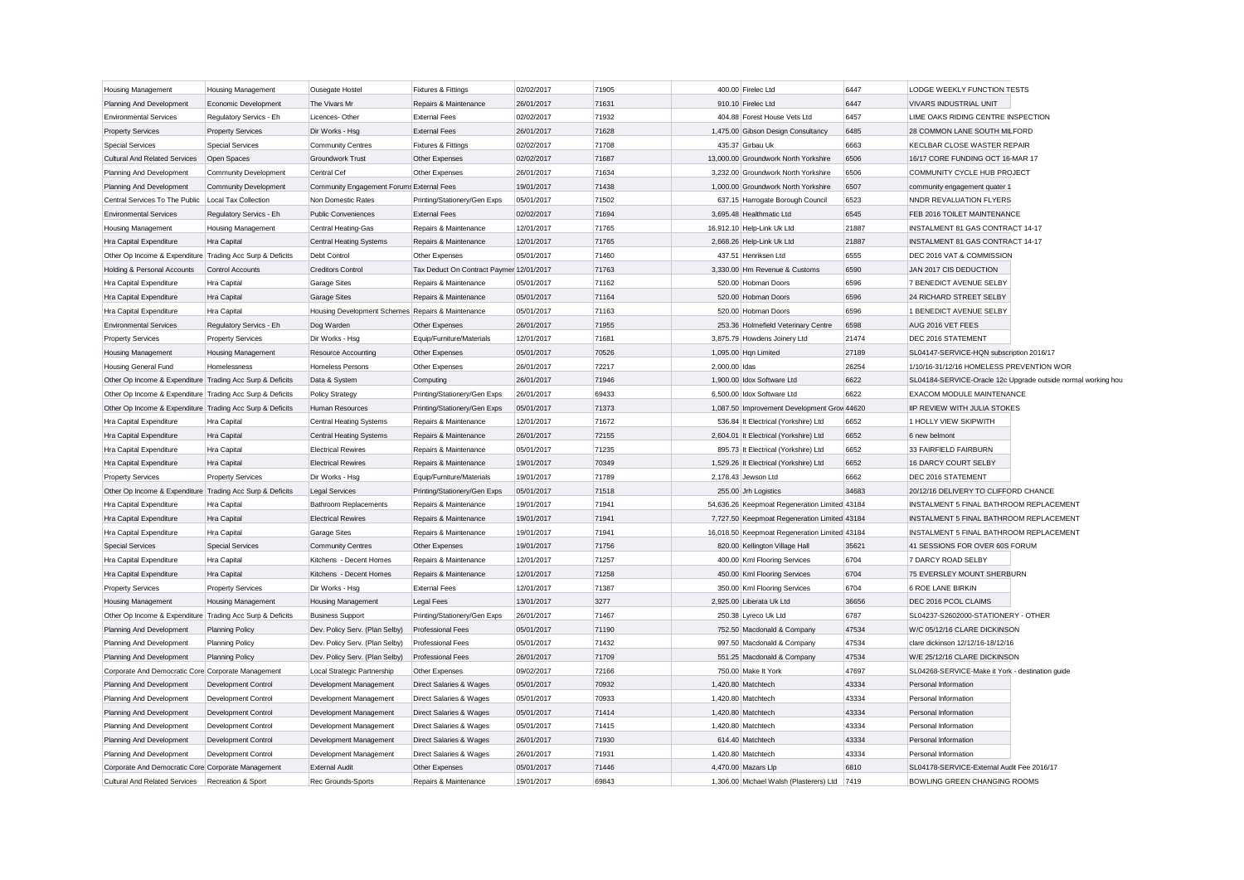| <b>Housing Management</b>                                 | <b>Housing Management</b>    | Ousegate Hostel                                   | Fixtures & Fittings                      | 02/02/2017 | 71905          |               | 400.00 Firelec Ltd                            | 6447  | LODGE WEEKLY FUNCTION TESTS                      |                                                               |
|-----------------------------------------------------------|------------------------------|---------------------------------------------------|------------------------------------------|------------|----------------|---------------|-----------------------------------------------|-------|--------------------------------------------------|---------------------------------------------------------------|
| Planning And Development                                  | Economic Development         | The Vivars Mr                                     | Repairs & Maintenance                    | 26/01/2017 | 71631          |               | 910.10 Firelec Ltd                            | 6447  | <b>VIVARS INDUSTRIAL UNIT</b>                    |                                                               |
| <b>Environmental Services</b>                             | Regulatory Servics - Eh      | Licences-Other                                    | <b>External Fees</b>                     | 02/02/2017 | 71932          |               | 404.88 Forest House Vets Ltd                  | 6457  | LIME OAKS RIDING CENTRE INSPECTION               |                                                               |
| <b>Property Services</b>                                  | <b>Property Services</b>     | Dir Works - Hsg                                   | <b>External Fees</b>                     | 26/01/2017 | 71628          |               | 1,475.00 Gibson Design Consultancy            | 6485  | 28 COMMON LANE SOUTH MILFORD                     |                                                               |
| <b>Special Services</b>                                   | <b>Special Services</b>      | <b>Community Centres</b>                          | Fixtures & Fittings                      | 02/02/2017 | 71708          |               | 435.37 Girbau Uk                              | 6663  | KECLBAR CLOSE WASTER REPAIR                      |                                                               |
| <b>Cultural And Related Services</b>                      | Open Spaces                  | <b>Groundwork Trust</b>                           | Other Expenses                           | 02/02/2017 | 71687          |               | 13,000.00 Groundwork North Yorkshire          | 6506  | 16/17 CORE FUNDING OCT 16-MAR 17                 |                                                               |
| Planning And Development                                  | <b>Community Development</b> | Central Cef                                       | Other Expenses                           | 26/01/2017 | 71634          |               | 3.232.00 Groundwork North Yorkshire           | 6506  | COMMUNITY CYCLE HUB PROJECT                      |                                                               |
| Planning And Development                                  | <b>Community Development</b> | Community Engagement Forums External Fees         |                                          | 19/01/2017 | 71438          |               | 1,000.00 Groundwork North Yorkshire           | 6507  | community engagement quater 1                    |                                                               |
| Central Services To The Public                            | <b>Local Tax Collection</b>  | Non Domestic Rates                                | Printing/Stationery/Gen Exps             | 05/01/2017 | 71502          |               | 637.15 Harrogate Borough Council              | 6523  | NNDR REVALUATION FLYERS                          |                                                               |
| <b>Environmental Services</b>                             | Regulatory Servics - Eh      | <b>Public Conveniences</b>                        | <b>External Fees</b>                     | 02/02/2017 | 71694          |               | 3,695.48 Healthmatic Ltd                      | 6545  | FEB 2016 TOILET MAINTENANCE                      |                                                               |
| Housing Management                                        | <b>Housing Management</b>    | Central Heating-Gas                               | Repairs & Maintenance                    | 12/01/2017 | 71765          |               | 16,912.10 Help-Link Uk Ltd                    | 21887 | INSTALMENT 81 GAS CONTRACT 14-17                 |                                                               |
| Hra Capital Expenditure                                   | Hra Capital                  | <b>Central Heating Systems</b>                    | Repairs & Maintenance                    | 12/01/2017 | 71765          |               | 2,668.26 Help-Link Uk Ltd                     | 21887 | INSTALMENT 81 GAS CONTRACT 14-17                 |                                                               |
| Other Op Income & Expenditure Trading Acc Surp & Deficits |                              | Debt Control                                      | Other Expenses                           | 05/01/2017 | 71460          |               | 437.51 Henriksen Ltd                          | 6555  | DEC 2016 VAT & COMMISSION                        |                                                               |
| Holding & Personal Accounts                               | Control Accounts             | <b>Creditors Control</b>                          | Tax Deduct On Contract Paymer 12/01/2017 |            | 71763          |               | 3,330.00 Hm Revenue & Customs                 | 6590  | JAN 2017 CIS DEDUCTION                           |                                                               |
| Hra Capital Expenditure                                   | Hra Capital                  | <b>Garage Sites</b>                               | Repairs & Maintenance                    | 05/01/2017 | 71162          |               | 520.00 Hobman Doors                           | 6596  | 7 BENEDICT AVENUE SELBY                          |                                                               |
| Hra Capital Expenditure                                   | Hra Capital                  | <b>Garage Sites</b>                               | Repairs & Maintenance                    | 05/01/2017 | 71164          |               | 520.00 Hobman Doors                           | 6596  | 24 RICHARD STREET SELBY                          |                                                               |
| Hra Capital Expenditure                                   | Hra Capital                  | Housing Development Schemes Repairs & Maintenance |                                          | 05/01/2017 | 71163          |               | 520.00 Hobman Doors                           | 6596  | 1 BENEDICT AVENUE SELBY                          |                                                               |
| <b>Environmental Services</b>                             | Regulatory Servics - Eh      | Dog Warden                                        | Other Expenses                           | 26/01/2017 | 71955          |               | 253.36 Holmefield Veterinary Centre           | 6598  | AUG 2016 VET FEES                                |                                                               |
| <b>Property Services</b>                                  | <b>Property Services</b>     | Dir Works - Hsg                                   | Equip/Furniture/Materials                | 12/01/2017 | 71681          |               | 3,875.79 Howdens Joinery Ltd                  | 21474 | DEC 2016 STATEMENT                               |                                                               |
| Housing Management                                        | <b>Housing Management</b>    | <b>Resource Accounting</b>                        | Other Expenses                           | 05/01/2017 | 70526          |               | 1,095.00 Hqn Limited                          | 27189 | SL04147-SERVICE-HQN subscription 2016/17         |                                                               |
| <b>Housing General Fund</b>                               | Homelessness                 | <b>Homeless Persons</b>                           | Other Expenses                           | 26/01/2017 | 72217          | 2,000.00 Idas |                                               | 26254 | 1/10/16-31/12/16 HOMELESS PREVENTION WOR         |                                                               |
| Other Op Income & Expenditure Trading Acc Surp & Deficits |                              | Data & System                                     | Computing                                | 26/01/2017 | 71946          |               | 1,900.00 Idox Software Ltd                    | 6622  |                                                  | SL04184-SERVICE-Oracle 12c Upgrade outside normal working hou |
| Other Op Income & Expenditure Trading Acc Surp & Deficits |                              | <b>Policy Strategy</b>                            | Printing/Stationery/Gen Exps             | 26/01/2017 | 69433          |               | 6,500.00 Idox Software Ltd                    | 6622  | EXACOM MODULE MAINTENANCE                        |                                                               |
| Other Op Income & Expenditure Trading Acc Surp & Deficits |                              | Human Resources                                   | Printing/Stationery/Gen Exps             | 05/01/2017 | 71373          |               | 1,087.50 Improvement Development Grov 44620   |       | IIP REVIEW WITH JULIA STOKES                     |                                                               |
| Hra Capital Expenditure                                   | Hra Capital                  | <b>Central Heating Systems</b>                    | Repairs & Maintenance                    | 12/01/2017 | 71672          |               | 536.84 It Electrical (Yorkshire) Ltd          | 6652  | 1 HOLLY VIEW SKIPWITH                            |                                                               |
| Hra Capital Expenditure                                   | Hra Capital                  | <b>Central Heating Systems</b>                    | Repairs & Maintenance                    | 26/01/2017 | 72155          |               | 2,604.01 It Electrical (Yorkshire) Ltd        | 6652  | 6 new belmont                                    |                                                               |
| Hra Capital Expenditure                                   | Hra Capital                  | <b>Electrical Rewires</b>                         | Repairs & Maintenance                    | 05/01/2017 | 71235          |               | 895.73 It Electrical (Yorkshire) Ltd          | 6652  | 33 FAIRFIELD FAIRBURN                            |                                                               |
| Hra Capital Expenditure                                   | Hra Capital                  | <b>Electrical Rewires</b>                         | Repairs & Maintenance                    | 19/01/2017 | 70349          |               | 1,529.26 It Electrical (Yorkshire) Ltd        | 6652  | 16 DARCY COURT SELBY                             |                                                               |
| <b>Property Services</b>                                  | <b>Property Services</b>     | Dir Works - Hsg                                   | Equip/Furniture/Materials                | 19/01/2017 | 71789          |               | 2,178.43 Jewson Ltd                           | 6662  | DEC 2016 STATEMENT                               |                                                               |
|                                                           |                              |                                                   |                                          |            |                |               |                                               | 34683 |                                                  |                                                               |
| Other Op Income & Expenditure Trading Acc Surp & Deficits |                              | Legal Services                                    | Printing/Stationery/Gen Exps             | 05/01/2017 | 71518<br>71941 |               | 255.00 Jrh Logistics                          |       | 20/12/16 DELIVERY TO CLIFFORD CHANCE             |                                                               |
| Hra Capital Expenditure                                   | Hra Capital                  | <b>Bathroom Replacements</b>                      | Repairs & Maintenance                    | 19/01/2017 |                |               | 54,636.26 Keepmoat Regeneration Limited 43184 |       | INSTALMENT 5 FINAL BATHROOM REPLACEMENT          |                                                               |
| Hra Capital Expenditure                                   | Hra Capital                  | <b>Electrical Rewires</b>                         | Repairs & Maintenance                    | 19/01/2017 | 71941          |               | 7,727.50 Keepmoat Regeneration Limited 43184  |       | INSTALMENT 5 FINAL BATHROOM REPLACEMENT          |                                                               |
| Hra Capital Expenditure                                   | Hra Capital                  | <b>Garage Sites</b>                               | Repairs & Maintenance                    | 19/01/2017 | 71941          |               | 16,018.50 Keepmoat Regeneration Limited 43184 |       | INSTALMENT 5 FINAL BATHROOM REPLACEMENT          |                                                               |
| <b>Special Services</b>                                   | <b>Special Services</b>      | <b>Community Centres</b>                          | Other Expenses                           | 19/01/2017 | 71756          |               | 820.00 Kellington Village Hall                | 35621 | 41 SESSIONS FOR OVER 60S FORUM                   |                                                               |
| Hra Capital Expenditure                                   | Hra Capital                  | Kitchens - Decent Homes                           | Repairs & Maintenance                    | 12/01/2017 | 71257          |               | 400.00 Kml Flooring Services                  | 6704  | 7 DARCY ROAD SELBY                               |                                                               |
| Hra Capital Expenditure                                   | Hra Capital                  | Kitchens - Decent Homes                           | Repairs & Maintenance                    | 12/01/2017 | 71258          |               | 450.00 Kml Flooring Services                  | 6704  | 75 EVERSLEY MOUNT SHERBURN                       |                                                               |
| <b>Property Services</b>                                  | <b>Property Services</b>     | Dir Works - Hsg                                   | <b>External Fees</b>                     | 12/01/2017 | 71387          |               | 350.00 Kml Flooring Services                  | 6704  | 6 ROE LANE BIRKIN                                |                                                               |
| Housing Management                                        | <b>Housing Management</b>    | <b>Housing Management</b>                         | Legal Fees                               | 13/01/2017 | 3277           |               | 2,925.00 Liberata Uk Ltd                      | 36656 | DEC 2016 PCOL CLAIMS                             |                                                               |
| Other Op Income & Expenditure Trading Acc Surp & Deficits |                              | <b>Business Support</b>                           | Printing/Stationery/Gen Exps             | 26/01/2017 | 71467          |               | 250.38 Lyreco Uk Ltd                          | 6787  | SL04237-S2602000-STATIONERY - OTHER              |                                                               |
| Planning And Development                                  | <b>Planning Policy</b>       | Dev. Policy Serv. (Plan Selby)                    | <b>Professional Fees</b>                 | 05/01/2017 | 71190          |               | 752.50 Macdonald & Company                    | 47534 | W/C 05/12/16 CLARE DICKINSON                     |                                                               |
| Planning And Development                                  | <b>Planning Policy</b>       | Dev. Policy Serv. (Plan Selby)                    | <b>Professional Fees</b>                 | 05/01/2017 | 71432          |               | 997.50 Macdonald & Company                    | 47534 | clare dickinson 12/12/16-18/12/16                |                                                               |
| Planning And Development                                  | <b>Planning Policy</b>       | Dev. Policy Serv. (Plan Selby)                    | <b>Professional Fees</b>                 | 26/01/2017 | 71709          |               | 551.25 Macdonald & Company                    | 47534 | W/E 25/12/16 CLARE DICKINSON                     |                                                               |
| Corporate And Democratic Core Corporate Management        |                              | Local Strategic Partnership                       | Other Expenses                           | 09/02/2017 | 72166          |               | 750.00 Make It York                           | 47697 | SL04268-SERVICE-Make it York - destination quide |                                                               |
| Planning And Development                                  | <b>Development Control</b>   | Development Management                            | Direct Salaries & Wages                  | 05/01/2017 | 70932          |               | 1.420.80 Matchtech                            | 43334 | Personal Information                             |                                                               |
| Planning And Development                                  | Development Control          | Development Management                            | Direct Salaries & Wages                  | 05/01/2017 | 70933          |               | 1,420.80 Matchtech                            | 43334 | Personal Information                             |                                                               |
| Planning And Development                                  | <b>Development Control</b>   | Development Management                            | <b>Direct Salaries &amp; Wages</b>       | 05/01/2017 | 71414          |               | 1.420.80 Matchtech                            | 43334 | Personal Information                             |                                                               |
| Planning And Development                                  | <b>Development Control</b>   | Development Management                            | Direct Salaries & Wages                  | 05/01/2017 | 71415          |               | 1,420.80 Matchtech                            | 43334 | Personal Information                             |                                                               |
| Planning And Development                                  | <b>Development Control</b>   | Development Management                            | Direct Salaries & Wages                  | 26/01/2017 | 71930          |               | 614.40 Matchtech                              | 43334 | Personal Information                             |                                                               |
| Planning And Development                                  | Development Control          | Development Management                            | Direct Salaries & Wages                  | 26/01/2017 | 71931          |               | 1.420.80 Matchtech                            | 43334 | Personal Information                             |                                                               |
| Corporate And Democratic Core Corporate Management        |                              | <b>External Audit</b>                             | Other Expenses                           | 05/01/2017 | 71446          |               | 4,470.00 Mazars Llp                           | 6810  | SL04178-SERVICE-External Audit Fee 2016/17       |                                                               |
| Cultural And Related Services                             | Recreation & Sport           | Rec Grounds-Sports                                | Repairs & Maintenance                    | 19/01/2017 | 69843          |               | 1.306.00 Michael Walsh (Plasterers) Ltd       | 7419  | <b>BOWLING GREEN CHANGING ROOMS</b>              |                                                               |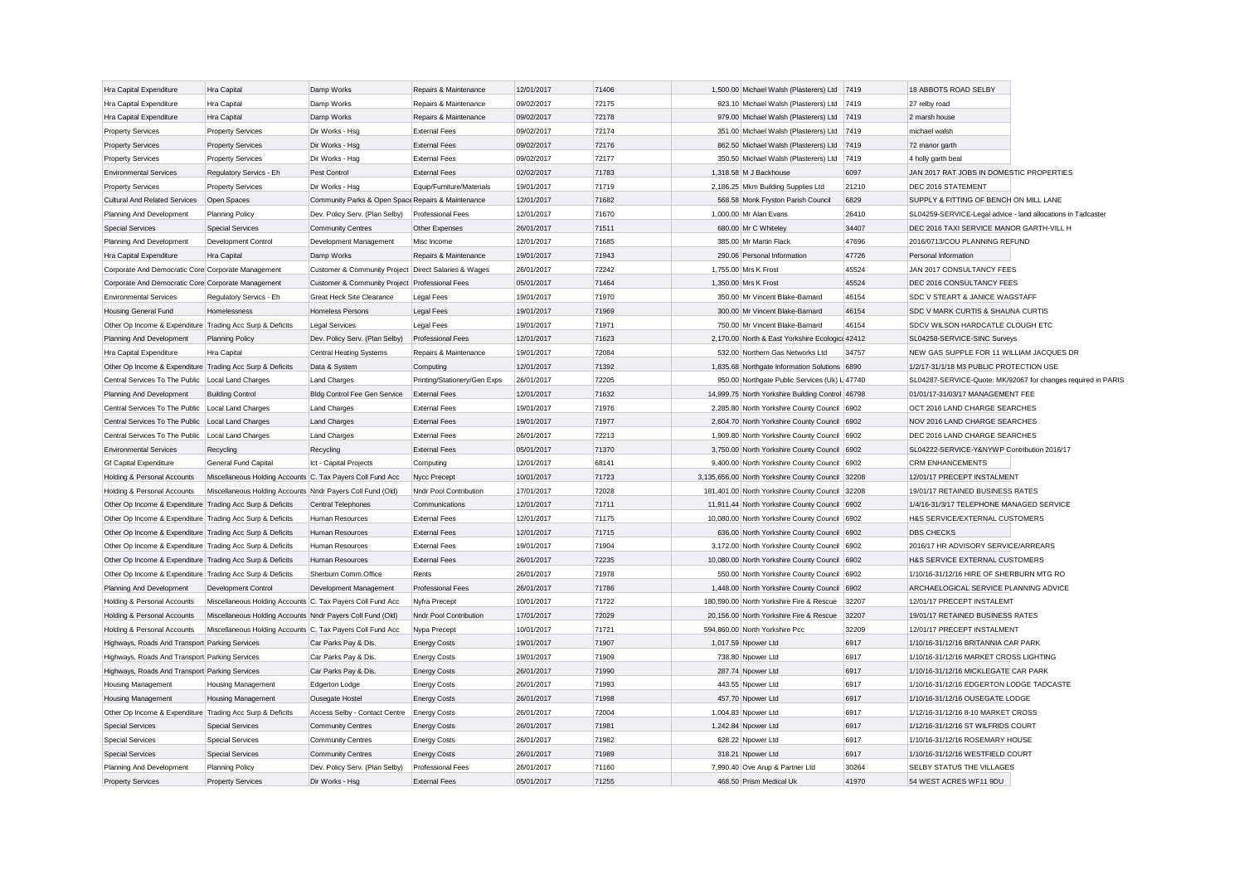| Hra Capital Expenditure                                   | Hra Capital                                                | Damp Works                                           | Repairs & Maintenance        | 12/01/2017 | 71406 | 1,500.00 Michael Walsh (Plasterers) Ltd          | 7419  | 18 ABBOTS ROAD SELBY                                         |                                                               |
|-----------------------------------------------------------|------------------------------------------------------------|------------------------------------------------------|------------------------------|------------|-------|--------------------------------------------------|-------|--------------------------------------------------------------|---------------------------------------------------------------|
| Hra Capital Expenditure                                   | Hra Capital                                                | Damp Works                                           | Repairs & Maintenance        | 09/02/2017 | 72175 | 923.10 Michael Walsh (Plasterers) Ltd            | 7419  | 27 relby road                                                |                                                               |
| Hra Capital Expenditure                                   | Hra Capital                                                | Damp Works                                           | Repairs & Maintenance        | 09/02/2017 | 72178 | 979.00 Michael Walsh (Plasterers) Ltd            | 7419  | 2 marsh house                                                |                                                               |
| <b>Property Services</b>                                  | <b>Property Services</b>                                   | Dir Works - Hsg                                      | <b>External Fees</b>         | 09/02/2017 | 72174 | 351.00 Michael Walsh (Plasterers) Ltd            | 7419  | michael walsh                                                |                                                               |
| <b>Property Services</b>                                  | <b>Property Services</b>                                   | Dir Works - Hsg                                      | <b>External Fees</b>         | 09/02/2017 | 72176 | 862.50 Michael Walsh (Plasterers) Ltd            | 7419  | 72 manor garth                                               |                                                               |
| <b>Property Services</b>                                  | <b>Property Services</b>                                   | Dir Works - Hsg                                      | <b>External Fees</b>         | 09/02/2017 | 72177 | 350.50 Michael Walsh (Plasterers) Ltd            | 7419  | 4 holly garth beal                                           |                                                               |
| <b>Environmental Services</b>                             | Regulatory Servics - Eh                                    | Pest Control                                         | <b>External Fees</b>         | 02/02/2017 | 71783 | 1.318.58 M J Backhouse                           | 6097  | JAN 2017 RAT JOBS IN DOMESTIC PROPERTIES                     |                                                               |
| <b>Property Services</b>                                  | <b>Property Services</b>                                   | Dir Works - Hsg                                      | Equip/Furniture/Materials    | 19/01/2017 | 71719 | 2,186.25 Mkm Building Supplies Ltd               | 21210 | DEC 2016 STATEMENT                                           |                                                               |
| <b>Cultural And Related Services</b>                      | Open Spaces                                                | Community Parks & Open Space Repairs & Maintenance   |                              | 12/01/2017 | 71682 | 568.58 Monk Fryston Parish Council               | 6829  | SUPPLY & FITTING OF BENCH ON MILL LANE                       |                                                               |
| Planning And Development                                  | <b>Planning Policy</b>                                     | Dev. Policy Serv. (Plan Selby)                       | Professional Fees            | 12/01/2017 | 71670 | 1,000.00 Mr Alan Evans                           | 26410 | SL04259-SERVICE-Legal advice - land allocations in Tadcaster |                                                               |
| <b>Special Services</b>                                   | <b>Special Services</b>                                    | <b>Community Centres</b>                             | Other Expenses               | 26/01/2017 | 71511 | 680.00 Mr C Whiteley                             | 34407 | DEC 2016 TAXI SERVICE MANOR GARTH-VILL H                     |                                                               |
| Planning And Development                                  | Development Control                                        | Development Management                               | Misc Income                  | 12/01/2017 | 71685 | 385.00 Mr Martin Flack                           | 47696 | 2016/0713/COU PLANNING REFUND                                |                                                               |
| Hra Capital Expenditure                                   | Hra Capital                                                | Damp Works                                           | Repairs & Maintenance        | 19/01/2017 | 71943 | 290.06 Personal Information                      | 47726 | Personal Information                                         |                                                               |
| Corporate And Democratic Core Corporate Management        |                                                            | Customer & Community Project Direct Salaries & Wages |                              | 26/01/2017 | 72242 | 1.755.00 Mrs K Frost                             | 45524 | JAN 2017 CONSULTANCY FEES                                    |                                                               |
| Corporate And Democratic Core Corporate Management        |                                                            | Customer & Community Project Professional Fees       |                              | 05/01/2017 | 71464 | 1.350.00 Mrs K Frost                             | 45524 | DEC 2016 CONSULTANCY FEES                                    |                                                               |
| <b>Environmental Services</b>                             | Regulatory Servics - Eh                                    | <b>Great Heck Site Clearance</b>                     | Legal Fees                   | 19/01/2017 | 71970 | 350.00 Mr Vincent Blake-Barnard                  | 46154 | SDC V STEART & JANICE WAGSTAFF                               |                                                               |
| <b>Housing General Fund</b>                               | Homelessness                                               | <b>Homeless Persons</b>                              | <b>Legal Fees</b>            | 19/01/2017 | 71969 | 300.00 Mr Vincent Blake-Barnard                  | 46154 | SDC V MARK CURTIS & SHAUNA CURTIS                            |                                                               |
| Other Op Income & Expenditure Trading Acc Surp & Deficits |                                                            | Legal Services                                       | <b>Legal Fees</b>            | 19/01/2017 | 71971 | 750.00 Mr Vincent Blake-Barnard                  | 46154 | SDCV WILSON HARDCATLE CLOUGH ETC                             |                                                               |
| Planning And Development                                  | <b>Planning Policy</b>                                     | Dev. Policy Serv. (Plan Selby)                       | <b>Professional Fees</b>     | 12/01/2017 | 71623 | 2,170.00 North & East Yorkshire Ecologic: 42412  |       | SL04258-SERVICE-SINC Surveys                                 |                                                               |
| Hra Capital Expenditure                                   | Hra Capital                                                | <b>Central Heating Systems</b>                       | Repairs & Maintenance        | 19/01/2017 | 72084 | 532.00 Northern Gas Networks Ltd                 | 34757 | NEW GAS SUPPLE FOR 11 WILLIAM JACQUES DR                     |                                                               |
| Other Op Income & Expenditure Trading Acc Surp & Deficits |                                                            | Data & System                                        |                              | 12/01/2017 | 71392 | 1,835.68 Northgate Information Solutions 6890    |       | 1/2/17-31/1/18 M3 PUBLIC PROTECTION USE                      |                                                               |
|                                                           |                                                            |                                                      | Computing                    | 26/01/2017 | 72205 |                                                  |       |                                                              |                                                               |
| Central Services To The Public                            | Local Land Charges                                         | <b>Land Charges</b>                                  | Printing/Stationery/Gen Exps |            |       | 950.00 Northgate Public Services (Uk) L 47740    |       |                                                              | SL04287-SERVICE-Quote: MK/92067 for changes required in PARIS |
| Planning And Development                                  | <b>Building Control</b>                                    | Bldg Control Fee Gen Service                         | <b>External Fees</b>         | 12/01/2017 | 71632 | 14,999.75 North Yorkshire Building Control 46798 |       | 01/01/17-31/03/17 MANAGEMENT FEE                             |                                                               |
| Central Services To The Public   Local Land Charges       |                                                            | <b>Land Charges</b>                                  | <b>External Fees</b>         | 19/01/2017 | 71976 | 2,285.80 North Yorkshire County Council 6902     |       | OCT 2016 LAND CHARGE SEARCHES                                |                                                               |
| Central Services To The Public   Local Land Charges       |                                                            | <b>Land Charges</b>                                  | <b>External Fees</b>         | 19/01/2017 | 71977 | 2,604.70 North Yorkshire County Council          | 6902  | NOV 2016 LAND CHARGE SEARCHES                                |                                                               |
| Central Services To The Public   Local Land Charges       |                                                            | <b>Land Charges</b>                                  | <b>External Fees</b>         | 26/01/2017 | 72213 | 1,909.80 North Yorkshire County Council 6902     |       | DEC 2016 LAND CHARGE SEARCHES                                |                                                               |
| <b>Environmental Services</b>                             | Recycling                                                  | Recycling                                            | <b>External Fees</b>         | 05/01/2017 | 71370 | 3,750.00 North Yorkshire County Council 6902     |       | SL04222-SERVICE-Y&NYWP Contribution 2016/17                  |                                                               |
| <b>Gf Capital Expenditure</b>                             | General Fund Capital                                       | Ict - Capital Projects                               | Computing                    | 12/01/2017 | 68141 | 9,400.00 North Yorkshire County Council 6902     |       | <b>CRM ENHANCEMENTS</b>                                      |                                                               |
| Holding & Personal Accounts                               | Miscellaneous Holding Accounts C. Tax Payers Coll Fund Acc |                                                      | Nycc Precept                 | 10/01/2017 | 71723 | 3,135,656.00 North Yorkshire County Council      | 32208 | 12/01/17 PRECEPT INSTALMENT                                  |                                                               |
| Holding & Personal Accounts                               | Miscellaneous Holding Accounts Nndr Payers Coll Fund (Old) |                                                      | Nndr Pool Contribution       | 17/01/2017 | 72028 | 181,401.00 North Yorkshire County Council 32208  |       | 19/01/17 RETAINED BUSINESS RATES                             |                                                               |
| Other Op Income & Expenditure Trading Acc Surp & Deficits |                                                            | <b>Central Telephones</b>                            | Communications               | 12/01/2017 | 71711 | 11,911.44 North Yorkshire County Council         | 6902  | 1/4/16-31/3/17 TELEPHONE MANAGED SERVICE                     |                                                               |
| Other Op Income & Expenditure Trading Acc Surp & Deficits |                                                            | Human Resources                                      | <b>External Fees</b>         | 12/01/2017 | 71175 | 10,080.00 North Yorkshire County Council 6902    |       | H&S SERVICE/EXTERNAL CUSTOMERS                               |                                                               |
| Other Op Income & Expenditure Trading Acc Surp & Deficits |                                                            | Human Resources                                      | <b>External Fees</b>         | 12/01/2017 | 71715 | 636.00 North Yorkshire County Council            | 6902  | <b>DBS CHECKS</b>                                            |                                                               |
| Other Op Income & Expenditure Trading Acc Surp & Deficits |                                                            | Human Resources                                      | <b>External Fees</b>         | 19/01/2017 | 71904 | 3,172.00 North Yorkshire County Council          | 6902  | 2016/17 HR ADVISORY SERVICE/ARREARS                          |                                                               |
| Other Op Income & Expenditure Trading Acc Surp & Deficits |                                                            | Human Resources                                      | <b>External Fees</b>         | 26/01/2017 | 72235 | 10,080.00 North Yorkshire County Council         | 6902  | H&S SERVICE EXTERNAL CUSTOMERS                               |                                                               |
| Other Op Income & Expenditure Trading Acc Surp & Deficits |                                                            | Sherburn Comm.Office                                 | Rents                        | 26/01/2017 | 71978 | 550.00 North Yorkshire County Council            | 6902  | 1/10/16-31/12/16 HIRE OF SHERBURN MTG RO                     |                                                               |
| Planning And Development                                  | Development Control                                        | Development Management                               | <b>Professional Fees</b>     | 26/01/2017 | 71786 | 1,448.00 North Yorkshire County Council          | 6902  | ARCHAELOGICAL SERVICE PLANNING ADVICE                        |                                                               |
| Holding & Personal Accounts                               | Miscellaneous Holding Accounts C. Tax Payers Coll Fund Acc |                                                      | Nyfra Precept                | 10/01/2017 | 71722 | 180,590.00 North Yorkshire Fire & Rescue         | 32207 | 12/01/17 PRECEPT INSTALEMT                                   |                                                               |
| Holding & Personal Accounts                               | Miscellaneous Holding Accounts Nndr Payers Coll Fund (Old) |                                                      | Nndr Pool Contribution       | 17/01/2017 | 72029 | 20.156.00 North Yorkshire Fire & Rescue          | 32207 | 19/01/17 RETAINED BUSINESS RATES                             |                                                               |
| Holding & Personal Accounts                               | Miscellaneous Holding Accounts C. Tax Payers Coll Fund Acc |                                                      | Nypa Precept                 | 10/01/2017 | 71721 | 594,860.00 North Yorkshire Pcc                   | 32209 | 12/01/17 PRECEPT INSTALMENT                                  |                                                               |
| Highways, Roads And Transport Parking Services            |                                                            | Car Parks Pay & Dis.                                 | <b>Energy Costs</b>          | 19/01/2017 | 71907 | 1,017.59 Npower Ltd                              | 6917  | 1/10/16-31/12/16 BRITANNIA CAR PARK                          |                                                               |
| Highways, Roads And Transport Parking Services            |                                                            | Car Parks Pay & Dis.                                 | <b>Energy Costs</b>          | 19/01/2017 | 71909 | 738.80 Npower Ltd                                | 6917  | 1/10/16-31/12/16 MARKET CROSS LIGHTING                       |                                                               |
| Highways, Roads And Transport Parking Services            |                                                            | Car Parks Pay & Dis.                                 | <b>Energy Costs</b>          | 26/01/2017 | 71990 | 287.74 Npower Ltd                                | 6917  | 1/10/16-31/12/16 MICKLEGATE CAR PARK                         |                                                               |
| <b>Housing Management</b>                                 | <b>Housing Management</b>                                  | <b>Edgerton Lodge</b>                                | <b>Energy Costs</b>          | 26/01/2017 | 71993 | 443.55 Npower Ltd                                | 6917  | 1/10/16-31/12/16 EDGERTON LODGE TADCASTE                     |                                                               |
| <b>Housing Management</b>                                 | Housing Management                                         | Ousegate Hostel                                      | <b>Energy Costs</b>          | 26/01/2017 | 71998 | 457.70 Npower Ltd                                | 6917  | 1/10/16-31/12/16 OUSEGATE LODGE                              |                                                               |
| Other Op Income & Expenditure Trading Acc Surp & Deficits |                                                            | Access Selby - Contact Centre                        | <b>Energy Costs</b>          | 26/01/2017 | 72004 | 1,004.83 Npower Ltd                              | 6917  | 1/12/16-31/12/16 8-10 MARKET CROSS                           |                                                               |
| <b>Special Services</b>                                   | <b>Special Services</b>                                    | <b>Community Centres</b>                             | <b>Energy Costs</b>          | 26/01/2017 | 71981 | 1,242.84 Npower Ltd                              | 6917  | 1/12/16-31/12/16 ST WILFRIDS COURT                           |                                                               |
| <b>Special Services</b>                                   | <b>Special Services</b>                                    | <b>Community Centres</b>                             | <b>Energy Costs</b>          | 26/01/2017 | 71982 | 628.22 Npower Ltd                                | 6917  | 1/10/16-31/12/16 ROSEMARY HOUSE                              |                                                               |
| <b>Special Services</b>                                   | <b>Special Services</b>                                    | <b>Community Centres</b>                             | <b>Energy Costs</b>          | 26/01/2017 | 71989 | 318.21 Npower Ltd                                | 6917  | 1/10/16-31/12/16 WESTFIELD COURT                             |                                                               |
| Planning And Development                                  | <b>Planning Policy</b>                                     | Dev. Policy Serv. (Plan Selby)                       | <b>Professional Fees</b>     | 26/01/2017 | 71160 | 7,990.40 Ove Arup & Partner Ltd                  | 30264 | SELBY STATUS THE VILLAGES                                    |                                                               |
| <b>Property Services</b>                                  | <b>Property Services</b>                                   | Dir Works - Hsg                                      | <b>External Fees</b>         | 05/01/2017 | 71255 | 468.50 Prism Medical Uk                          | 41970 | 54 WEST ACRES WF11 9DU                                       |                                                               |
|                                                           |                                                            |                                                      |                              |            |       |                                                  |       |                                                              |                                                               |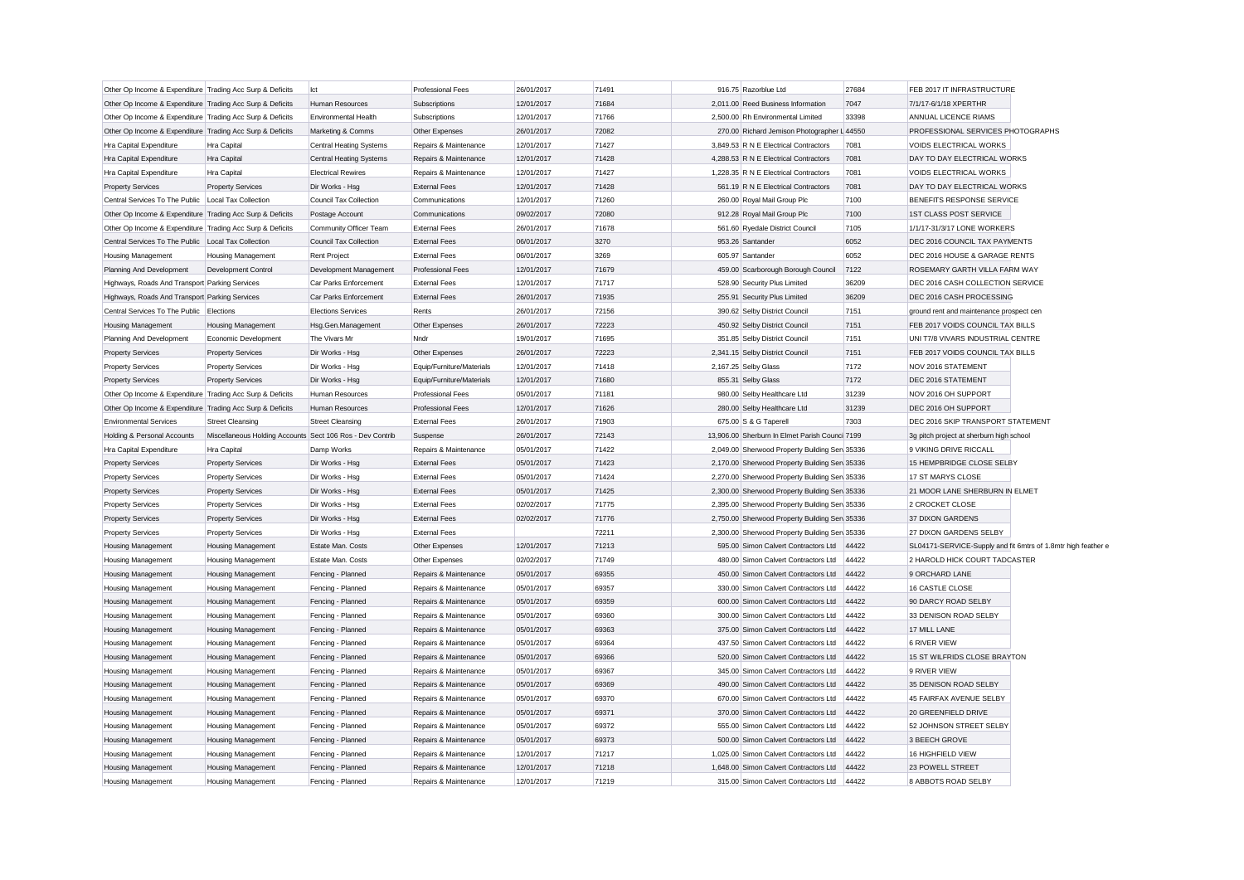| Other Op Income & Expenditure Trading Acc Surp & Deficits |                                                           | lct                            | <b>Professional Fees</b>  | 26/01/2017 | 71491 | 916.75 Razorblue Ltd                           | 27684 | FEB 2017 IT INFRASTRUCTURE                                    |  |
|-----------------------------------------------------------|-----------------------------------------------------------|--------------------------------|---------------------------|------------|-------|------------------------------------------------|-------|---------------------------------------------------------------|--|
| Other Op Income & Expenditure Trading Acc Surp & Deficits |                                                           | Human Resources                | Subscriptions             | 12/01/2017 | 71684 | 2,011.00 Reed Business Information             | 7047  | 7/1/17-6/1/18 XPERTHR                                         |  |
| Other Op Income & Expenditure Trading Acc Surp & Deficits |                                                           | <b>Environmental Health</b>    | Subscriptions             | 12/01/2017 | 71766 | 2.500.00 Rh Environmental Limited              | 33398 | ANNUAL LICENCE RIAMS                                          |  |
| Other Op Income & Expenditure Trading Acc Surp & Deficits |                                                           | Marketing & Comms              | Other Expenses            | 26/01/2017 | 72082 | 270.00 Richard Jemison Photographer L 44550    |       | PROFESSIONAL SERVICES PHOTOGRAPHS                             |  |
| Hra Capital Expenditure                                   | Hra Capital                                               | <b>Central Heating Systems</b> | Repairs & Maintenance     | 12/01/2017 | 71427 | 3,849.53 R N E Electrical Contractors          | 7081  | <b>VOIDS ELECTRICAL WORKS</b>                                 |  |
| Hra Capital Expenditure                                   | Hra Capital                                               | Central Heating Systems        | Repairs & Maintenance     | 12/01/2017 | 71428 | 4,288.53 R N E Electrical Contractors          | 7081  | DAY TO DAY ELECTRICAL WORKS                                   |  |
| Hra Capital Expenditure                                   | Hra Capital                                               | <b>Electrical Rewires</b>      | Repairs & Maintenance     | 12/01/2017 | 71427 | 1,228.35 R N E Electrical Contractors          | 7081  | VOIDS ELECTRICAL WORKS                                        |  |
| <b>Property Services</b>                                  | <b>Property Services</b>                                  | Dir Works - Hsg                | <b>External Fees</b>      | 12/01/2017 | 71428 | 561.19 R N E Electrical Contractors            | 7081  | DAY TO DAY ELECTRICAL WORKS                                   |  |
| Central Services To The Public   Local Tax Collection     |                                                           | Council Tax Collection         | Communications            | 12/01/2017 | 71260 | 260.00 Royal Mail Group Plc                    | 7100  | BENEFITS RESPONSE SERVICE                                     |  |
| Other Op Income & Expenditure Trading Acc Surp & Deficits |                                                           | Postage Account                | Communications            | 09/02/2017 | 72080 | 912.28 Royal Mail Group Plc                    | 7100  | <b>1ST CLASS POST SERVICE</b>                                 |  |
| Other Op Income & Expenditure Trading Acc Surp & Deficits |                                                           | Community Officer Team         | <b>External Fees</b>      | 26/01/2017 | 71678 | 561.60 Ryedale District Council                | 7105  | 1/1/17-31/3/17 LONE WORKERS                                   |  |
| Central Services To The Public Local Tax Collection       |                                                           | <b>Council Tax Collection</b>  | <b>External Fees</b>      | 06/01/2017 | 3270  | 953.26 Santander                               | 6052  | DEC 2016 COUNCIL TAX PAYMENTS                                 |  |
| <b>Housing Management</b>                                 | <b>Housing Management</b>                                 | Rent Project                   | <b>External Fees</b>      | 06/01/2017 | 3269  | 605.97 Santander                               | 6052  | DEC 2016 HOUSE & GARAGE RENTS                                 |  |
| Planning And Development                                  | Development Control                                       | Development Management         | <b>Professional Fees</b>  | 12/01/2017 | 71679 | 459.00 Scarborough Borough Council             | 7122  | ROSEMARY GARTH VILLA FARM WAY                                 |  |
| Highways, Roads And Transport Parking Services            |                                                           | Car Parks Enforcement          | <b>External Fees</b>      | 12/01/2017 | 71717 | 528.90 Security Plus Limited                   | 36209 | DEC 2016 CASH COLLECTION SERVICE                              |  |
| Highways, Roads And Transport Parking Services            |                                                           | Car Parks Enforcement          | <b>External Fees</b>      | 26/01/2017 | 71935 | 255.91 Security Plus Limited                   | 36209 | DEC 2016 CASH PROCESSING                                      |  |
| Central Services To The Public Elections                  |                                                           | <b>Elections Services</b>      | Rents                     | 26/01/2017 | 72156 | 390.62 Selby District Council                  | 7151  | ground rent and maintenance prospect cen                      |  |
| <b>Housing Management</b>                                 | <b>Housing Management</b>                                 | Hsg.Gen.Management             | Other Expenses            | 26/01/2017 | 72223 | 450.92 Selby District Council                  | 7151  | FEB 2017 VOIDS COUNCIL TAX BILLS                              |  |
| Planning And Development                                  | Economic Development                                      | The Vivars Mr                  | Nndr                      | 19/01/2017 | 71695 | 351.85 Selby District Council                  | 7151  | UNI T7/8 VIVARS INDUSTRIAL CENTRE                             |  |
| <b>Property Services</b>                                  | <b>Property Services</b>                                  | Dir Works - Hsg                | Other Expenses            | 26/01/2017 | 72223 | 2,341.15 Selby District Council                | 7151  | FEB 2017 VOIDS COUNCIL TAX BILLS                              |  |
| <b>Property Services</b>                                  | <b>Property Services</b>                                  | Dir Works - Hsg                | Equip/Furniture/Materials | 12/01/2017 | 71418 | 2,167.25 Selby Glass                           | 7172  | NOV 2016 STATEMENT                                            |  |
| <b>Property Services</b>                                  | <b>Property Services</b>                                  | Dir Works - Hsg                | Equip/Furniture/Materials | 12/01/2017 | 71680 | 855.31 Selby Glass                             | 7172  | DEC 2016 STATEMENT                                            |  |
| Other Op Income & Expenditure Trading Acc Surp & Deficits |                                                           | Human Resources                | <b>Professional Fees</b>  | 05/01/2017 | 71181 | 980.00 Selby Healthcare Ltd                    | 31239 | NOV 2016 OH SUPPORT                                           |  |
| Other Op Income & Expenditure Trading Acc Surp & Deficits |                                                           | Human Resources                | <b>Professional Fees</b>  | 12/01/2017 | 71626 | 280.00 Selby Healthcare Ltd                    | 31239 | DEC 2016 OH SUPPORT                                           |  |
| <b>Environmental Services</b>                             | <b>Street Cleansing</b>                                   | <b>Street Cleansing</b>        | <b>External Fees</b>      | 26/01/2017 | 71903 | 675.00 S & G Taperell                          | 7303  | DEC 2016 SKIP TRANSPORT STATEMENT                             |  |
| Holding & Personal Accounts                               | Miscellaneous Holding Accounts Sect 106 Ros - Dev Contrib |                                | Suspense                  | 26/01/2017 | 72143 | 13,906.00 Sherburn In Elmet Parish Counci 7199 |       | 3g pitch project at sherburn high school                      |  |
| Hra Capital Expenditure                                   | Hra Capital                                               | Damp Works                     | Repairs & Maintenance     | 05/01/2017 | 71422 | 2,049.00 Sherwood Property Building Ser 35336  |       | 9 VIKING DRIVE RICCALL                                        |  |
| <b>Property Services</b>                                  | <b>Property Services</b>                                  | Dir Works - Hsg                | <b>External Fees</b>      | 05/01/2017 | 71423 | 2,170.00 Sherwood Property Building Sen 35336  |       | 15 HEMPBRIDGE CLOSE SELBY                                     |  |
| <b>Property Services</b>                                  | <b>Property Services</b>                                  | Dir Works - Hsg                | <b>External Fees</b>      | 05/01/2017 | 71424 | 2,270.00 Sherwood Property Building Sen 35336  |       | 17 ST MARYS CLOSE                                             |  |
| <b>Property Services</b>                                  | <b>Property Services</b>                                  | Dir Works - Hsg                | <b>External Fees</b>      | 05/01/2017 | 71425 | 2,300.00 Sherwood Property Building Sen 35336  |       | 21 MOOR LANE SHERBURN IN ELMET                                |  |
| <b>Property Services</b>                                  | <b>Property Services</b>                                  | Dir Works - Hsg                | <b>External Fees</b>      | 02/02/2017 | 71775 | 2,395.00 Sherwood Property Building Sen 35336  |       | 2 CROCKET CLOSE                                               |  |
| <b>Property Services</b>                                  | <b>Property Services</b>                                  | Dir Works - Hsg                | <b>External Fees</b>      | 02/02/2017 | 71776 | 2,750.00 Sherwood Property Building Sen 35336  |       | 37 DIXON GARDENS                                              |  |
| <b>Property Services</b>                                  | <b>Property Services</b>                                  | Dir Works - Hsg                | <b>External Fees</b>      |            | 72211 | 2,300.00 Sherwood Property Building Sen 35336  |       | 27 DIXON GARDENS SELBY                                        |  |
| <b>Housing Management</b>                                 | <b>Housing Management</b>                                 | Estate Man. Costs              | Other Expenses            | 12/01/2017 | 71213 | 595.00 Simon Calvert Contractors Ltd           | 44422 | SL04171-SERVICE-Supply and fit 6mtrs of 1.8mtr high feather e |  |
| Housing Management                                        | <b>Housing Management</b>                                 | Estate Man. Costs              | Other Expenses            | 02/02/2017 | 71749 | 480.00 Simon Calvert Contractors Ltd           | 44422 | 2 HAROLD HICK COURT TADCASTER                                 |  |
| Housing Management                                        | Housing Management                                        | Fencing - Planned              | Repairs & Maintenance     | 05/01/2017 | 69355 | 450.00 Simon Calvert Contractors Ltd           | 44422 | 9 ORCHARD LANE                                                |  |
| <b>Housing Management</b>                                 | <b>Housing Management</b>                                 | Fencing - Planned              | Repairs & Maintenance     | 05/01/2017 | 69357 | 330.00 Simon Calvert Contractors Ltd           | 44422 | 16 CASTLE CLOSE                                               |  |
| <b>Housing Management</b>                                 | <b>Housing Management</b>                                 | Fencing - Planned              | Repairs & Maintenance     | 05/01/2017 | 69359 | 600.00 Simon Calvert Contractors Ltd           | 44422 | 90 DARCY ROAD SELBY                                           |  |
| Housing Management                                        | <b>Housing Management</b>                                 | Fencing - Planned              | Repairs & Maintenance     | 05/01/2017 | 69360 | 300.00 Simon Calvert Contractors Ltd           | 44422 | 33 DENISON ROAD SELBY                                         |  |
| <b>Housing Management</b>                                 | <b>Housing Management</b>                                 | Fencing - Planned              | Repairs & Maintenance     | 05/01/2017 | 69363 | 375.00 Simon Calvert Contractors Ltd           | 44422 | 17 MILL LANE                                                  |  |
| Housing Management                                        | <b>Housing Management</b>                                 | Fencing - Planned              | Repairs & Maintenance     | 05/01/2017 | 69364 | 437.50 Simon Calvert Contractors Ltd           | 44422 | 6 RIVER VIEW                                                  |  |
| Housing Management                                        | <b>Housing Management</b>                                 | Fencing - Planned              | Repairs & Maintenance     | 05/01/2017 | 69366 | 520.00 Simon Calvert Contractors Ltd           | 44422 | 15 ST WILFRIDS CLOSE BRAYTON                                  |  |
| Housing Management                                        | <b>Housing Management</b>                                 | Fencing - Planned              | Repairs & Maintenance     | 05/01/2017 | 69367 | 345.00 Simon Calvert Contractors Ltd           | 44422 | 9 RIVER VIEW                                                  |  |
| <b>Housing Management</b>                                 | <b>Housing Management</b>                                 | Fencing - Planned              | Repairs & Maintenance     | 05/01/2017 | 69369 | 490.00 Simon Calvert Contractors Ltd           | 44422 | 35 DENISON ROAD SELBY                                         |  |
| <b>Housing Management</b>                                 | <b>Housing Management</b>                                 | Fencing - Planned              | Repairs & Maintenance     | 05/01/2017 | 69370 | 670.00 Simon Calvert Contractors Ltd           | 44422 | 45 FAIRFAX AVENUE SELBY                                       |  |
| <b>Housing Management</b>                                 | <b>Housing Management</b>                                 | Fencing - Planned              | Repairs & Maintenance     | 05/01/2017 | 69371 | 370.00 Simon Calvert Contractors Ltd           | 44422 | 20 GREENFIELD DRIVE                                           |  |
| <b>Housing Management</b>                                 | <b>Housing Management</b>                                 | Fencing - Planned              | Repairs & Maintenance     | 05/01/2017 | 69372 | 555.00 Simon Calvert Contractors Ltd           | 44422 | 52 JOHNSON STREET SELBY                                       |  |
| <b>Housing Management</b>                                 | <b>Housing Management</b>                                 | Fencing - Planned              | Repairs & Maintenance     | 05/01/2017 | 69373 | 500.00 Simon Calvert Contractors Ltd           | 44422 | 3 BEECH GROVE                                                 |  |
| <b>Housing Management</b>                                 | <b>Housing Management</b>                                 | Fencing - Planned              | Repairs & Maintenance     | 12/01/2017 | 71217 | 1,025.00 Simon Calvert Contractors Ltd         | 44422 | 16 HIGHFIELD VIEW                                             |  |
| <b>Housing Management</b>                                 | <b>Housing Management</b>                                 | Fencing - Planned              | Repairs & Maintenance     | 12/01/2017 | 71218 | 1.648.00 Simon Calvert Contractors Ltd         | 44422 | 23 POWELL STREET                                              |  |
| Housing Management                                        | Housing Management                                        | Fencing - Planned              | Repairs & Maintenance     | 12/01/2017 | 71219 | 315.00 Simon Calvert Contractors Ltd           | 44422 | 8 ABBOTS ROAD SELBY                                           |  |
|                                                           |                                                           |                                |                           |            |       |                                                |       |                                                               |  |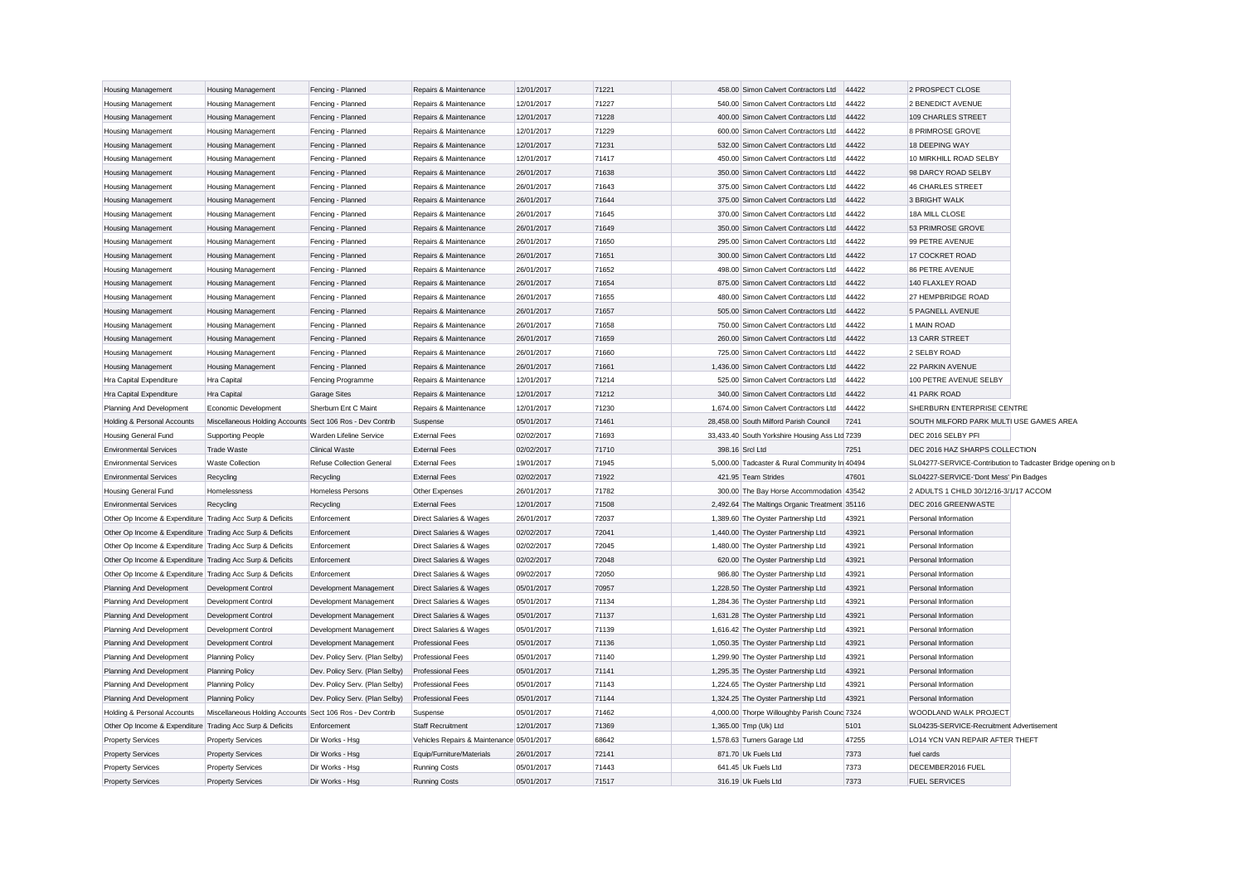| <b>Housing Management</b>                                 | <b>Housing Management</b>                                 | Fencing - Planned              | Repairs & Maintenance                     | 12/01/2017 | 71221 | 458.00 Simon Calvert Contractors Ltd           | 44422 | 2 PROSPECT CLOSE                                              |  |
|-----------------------------------------------------------|-----------------------------------------------------------|--------------------------------|-------------------------------------------|------------|-------|------------------------------------------------|-------|---------------------------------------------------------------|--|
| Housing Management                                        | <b>Housing Management</b>                                 | Fencing - Planned              | Repairs & Maintenance                     | 12/01/2017 | 71227 | 540.00 Simon Calvert Contractors Ltd           | 44422 | 2 BENEDICT AVENUE                                             |  |
| <b>Housing Management</b>                                 | <b>Housing Management</b>                                 | Fencing - Planned              | Repairs & Maintenance                     | 12/01/2017 | 71228 | 400.00 Simon Calvert Contractors Ltd           | 44422 | 109 CHARLES STREET                                            |  |
| <b>Housing Management</b>                                 | <b>Housing Management</b>                                 | Fencing - Planned              | Repairs & Maintenance                     | 12/01/2017 | 71229 | 600.00 Simon Calvert Contractors Ltd           | 44422 | 8 PRIMROSE GROVE                                              |  |
| Housing Management                                        | <b>Housing Management</b>                                 | Fencing - Planned              | Repairs & Maintenance                     | 12/01/2017 | 71231 | 532.00 Simon Calvert Contractors Ltd           | 44422 | 18 DEEPING WAY                                                |  |
| <b>Housing Management</b>                                 | <b>Housing Management</b>                                 | Fencing - Planned              | Repairs & Maintenance                     | 12/01/2017 | 71417 | 450.00 Simon Calvert Contractors Ltd           | 44422 | 10 MIRKHILL ROAD SELBY                                        |  |
| <b>Housing Management</b>                                 | <b>Housing Management</b>                                 | Fencing - Planned              | Repairs & Maintenance                     | 26/01/2017 | 71638 | 350.00 Simon Calvert Contractors Ltd           | 44422 | 98 DARCY ROAD SELBY                                           |  |
| Housing Management                                        | <b>Housing Management</b>                                 | Fencing - Planned              | Repairs & Maintenance                     | 26/01/2017 | 71643 | 375.00 Simon Calvert Contractors Ltd           | 44422 | <b>46 CHARLES STREET</b>                                      |  |
| <b>Housing Management</b>                                 | <b>Housing Management</b>                                 | Fencing - Planned              | Repairs & Maintenance                     | 26/01/2017 | 71644 | 375.00 Simon Calvert Contractors Ltd           | 44422 | 3 BRIGHT WALK                                                 |  |
| <b>Housing Management</b>                                 | <b>Housing Management</b>                                 | Fencing - Planned              | Repairs & Maintenance                     | 26/01/2017 | 71645 | 370.00 Simon Calvert Contractors Ltd           | 44422 | 18A MILL CLOSE                                                |  |
| Housing Management                                        | <b>Housing Management</b>                                 | Fencing - Planned              | Repairs & Maintenance                     | 26/01/2017 | 71649 | 350.00 Simon Calvert Contractors Ltd           | 44422 | 53 PRIMROSE GROVE                                             |  |
| <b>Housing Management</b>                                 | <b>Housing Management</b>                                 | Fencing - Planned              | Repairs & Maintenance                     | 26/01/2017 | 71650 | 295.00 Simon Calvert Contractors Ltd           | 44422 | 99 PETRE AVENUE                                               |  |
| Housing Management                                        | <b>Housing Management</b>                                 | Fencing - Planned              | Repairs & Maintenance                     | 26/01/2017 | 71651 | 300.00 Simon Calvert Contractors Ltd           | 44422 | 17 COCKRET ROAD                                               |  |
| <b>Housing Management</b>                                 | <b>Housing Management</b>                                 | Fencing - Planned              | Repairs & Maintenance                     | 26/01/2017 | 71652 | 498.00 Simon Calvert Contractors Ltd           | 44422 | <b>86 PETRE AVENUE</b>                                        |  |
| <b>Housing Management</b>                                 | <b>Housing Management</b>                                 | Fencing - Planned              | Repairs & Maintenance                     | 26/01/2017 | 71654 | 875.00 Simon Calvert Contractors Ltd           | 44422 | 140 FLAXLEY ROAD                                              |  |
| Housing Management                                        | <b>Housing Management</b>                                 | Fencing - Planned              | Repairs & Maintenance                     | 26/01/2017 | 71655 | 480.00 Simon Calvert Contractors Ltd           | 44422 | 27 HEMPBRIDGE ROAD                                            |  |
| <b>Housing Management</b>                                 | <b>Housing Management</b>                                 | Fencing - Planned              | Repairs & Maintenance                     | 26/01/2017 | 71657 | 505.00 Simon Calvert Contractors Ltd           | 44422 | <b>5 PAGNELL AVENUE</b>                                       |  |
| <b>Housing Management</b>                                 | <b>Housing Management</b>                                 | Fencing - Planned              | Repairs & Maintenance                     | 26/01/2017 | 71658 | 750.00 Simon Calvert Contractors Ltd           | 44422 | 1 MAIN ROAD                                                   |  |
| Housing Management                                        | <b>Housing Management</b>                                 | Fencing - Planned              | Repairs & Maintenance                     | 26/01/2017 | 71659 | 260.00 Simon Calvert Contractors Ltd           | 44422 | 13 CARR STREET                                                |  |
| Housing Management                                        | <b>Housing Management</b>                                 | Fencing - Planned              | Repairs & Maintenance                     | 26/01/2017 | 71660 | 725.00 Simon Calvert Contractors Ltd           | 44422 | 2 SELBY ROAD                                                  |  |
| <b>Housing Management</b>                                 | <b>Housing Management</b>                                 | Fencing - Planned              | Repairs & Maintenance                     | 26/01/2017 | 71661 | 1,436.00 Simon Calvert Contractors Ltd         | 44422 | 22 PARKIN AVENUE                                              |  |
| Hra Capital Expenditure                                   | <b>Hra Capital</b>                                        | Fencing Programme              | Repairs & Maintenance                     | 12/01/2017 | 71214 | 525.00 Simon Calvert Contractors Ltd           | 44422 | 100 PETRE AVENUE SELBY                                        |  |
| Hra Capital Expenditure                                   | Hra Capital                                               | <b>Garage Sites</b>            | Repairs & Maintenance                     | 12/01/2017 | 71212 | 340.00 Simon Calvert Contractors Ltd           | 44422 | 41 PARK ROAD                                                  |  |
| Planning And Development                                  | Economic Development                                      | Sherburn Ent C Maint           | Repairs & Maintenance                     | 12/01/2017 | 71230 | 1,674.00 Simon Calvert Contractors Ltd         | 44422 | SHERBURN ENTERPRISE CENTRE                                    |  |
| Holding & Personal Accounts                               | Miscellaneous Holding Accounts Sect 106 Ros - Dev Contrib |                                | Suspense                                  | 05/01/2017 | 71461 | 28.458.00 South Milford Parish Council         | 7241  | SOUTH MILFORD PARK MULTI USE GAMES AREA                       |  |
| Housing General Fund                                      | <b>Supporting People</b>                                  | Warden Lifeline Service        | <b>External Fees</b>                      | 02/02/2017 | 71693 | 33,433.40 South Yorkshire Housing Ass Ltd 7239 |       | DEC 2016 SELBY PFI                                            |  |
| <b>Environmental Services</b>                             | <b>Trade Waste</b>                                        | <b>Clinical Waste</b>          | <b>External Fees</b>                      | 02/02/2017 | 71710 | 398.16 Srcl Ltd                                | 7251  | DEC 2016 HAZ SHARPS COLLECTION                                |  |
| <b>Environmental Services</b>                             | <b>Waste Collection</b>                                   | Refuse Collection General      | <b>External Fees</b>                      | 19/01/2017 | 71945 | 5,000.00 Tadcaster & Rural Community In 40494  |       | SL04277-SERVICE-Contribution to Tadcaster Bridge opening on b |  |
| <b>Environmental Services</b>                             | Recycling                                                 | Recycling                      | <b>External Fees</b>                      | 02/02/2017 | 71922 | 421.95 Team Strides                            | 47601 | SL04227-SERVICE-'Dont Mess' Pin Badges                        |  |
| Housing General Fund                                      | Homelessness                                              | Homeless Persons               | Other Expenses                            | 26/01/2017 | 71782 | 300.00 The Bay Horse Accommodation 43542       |       | 2 ADULTS 1 CHILD 30/12/16-3/1/17 ACCOM                        |  |
| <b>Environmental Services</b>                             | Recycling                                                 | Recycling                      | <b>External Fees</b>                      | 12/01/2017 | 71508 | 2,492.64 The Maltings Organic Treatment 35116  |       | DEC 2016 GREENWASTE                                           |  |
| Other Op Income & Expenditure Trading Acc Surp & Deficits |                                                           | Enforcement                    | Direct Salaries & Wages                   | 26/01/2017 | 72037 | 1,389.60 The Oyster Partnership Ltd            | 43921 | Personal Information                                          |  |
| Other Op Income & Expenditure Trading Acc Surp & Deficits |                                                           | Enforcement                    | Direct Salaries & Wages                   | 02/02/2017 | 72041 | 1,440.00 The Oyster Partnership Ltd            | 43921 | Personal Information                                          |  |
| Other Op Income & Expenditure Trading Acc Surp & Deficits |                                                           | Enforcement                    | Direct Salaries & Wages                   | 02/02/2017 | 72045 | 1,480.00 The Oyster Partnership Ltd            | 43921 | Personal Information                                          |  |
| Other Op Income & Expenditure Trading Acc Surp & Deficits |                                                           | Enforcement                    | Direct Salaries & Wages                   | 02/02/2017 | 72048 | 620.00 The Oyster Partnership Ltd              | 43921 | Personal Information                                          |  |
| Other Op Income & Expenditure Trading Acc Surp & Deficits |                                                           | Enforcement                    | Direct Salaries & Wages                   | 09/02/2017 | 72050 | 986.80 The Oyster Partnership Ltd              | 43921 | Personal Information                                          |  |
| Planning And Development                                  | Development Control                                       | Development Management         | Direct Salaries & Wages                   | 05/01/2017 | 70957 | 1,228.50 The Oyster Partnership Ltd            | 43921 | Personal Information                                          |  |
| Planning And Development                                  | Development Control                                       | Development Management         | Direct Salaries & Wages                   | 05/01/2017 | 71134 | 1,284.36 The Oyster Partnership Ltd            | 43921 | Personal Information                                          |  |
| Planning And Development                                  | Development Control                                       | Development Management         | Direct Salaries & Wages                   | 05/01/2017 | 71137 | 1,631.28 The Oyster Partnership Ltd            | 43921 | Personal Information                                          |  |
| Planning And Development                                  | Development Control                                       | Development Management         | Direct Salaries & Wages                   | 05/01/2017 | 71139 | 1,616.42 The Oyster Partnership Ltd            | 43921 | Personal Information                                          |  |
| Planning And Development                                  | Development Control                                       | Development Management         | <b>Professional Fees</b>                  | 05/01/2017 | 71136 | 1,050.35 The Oyster Partnership Ltd            | 43921 | Personal Information                                          |  |
| Planning And Development                                  | <b>Planning Policy</b>                                    | Dev. Policy Serv. (Plan Selby) | <b>Professional Fees</b>                  | 05/01/2017 | 71140 | 1,299.90 The Oyster Partnership Ltd            | 43921 | Personal Information                                          |  |
| Planning And Development                                  | <b>Planning Policy</b>                                    | Dev. Policy Serv. (Plan Selby) | Professional Fees                         | 05/01/2017 | 71141 | 1,295.35 The Oyster Partnership Ltd            | 43921 | Personal Information                                          |  |
| Planning And Development                                  | Planning Policy                                           | Dev. Policy Serv. (Plan Selby) | Professional Fees                         | 05/01/2017 | 71143 | 1,224.65 The Oyster Partnership Ltd            | 43921 | Personal Information                                          |  |
| Planning And Development                                  | <b>Planning Policy</b>                                    | Dev. Policy Serv. (Plan Selby) | <b>Professional Fees</b>                  | 05/01/2017 | 71144 | 1,324.25 The Oyster Partnership Ltd            | 43921 | Personal Information                                          |  |
| Holding & Personal Accounts                               | Miscellaneous Holding Accounts Sect 106 Ros - Dev Contrib |                                | Suspense                                  | 05/01/2017 | 71462 | 4,000.00 Thorpe Willoughby Parish Counc 7324   |       | WOODLAND WALK PROJECT                                         |  |
| Other Op Income & Expenditure Trading Acc Surp & Deficits |                                                           | Enforcement                    | <b>Staff Recruitment</b>                  | 12/01/2017 | 71369 | 1,365.00 Tmp (Uk) Ltd                          | 5101  | SL04235-SERVICE-Recruitment Advertisement                     |  |
| <b>Property Services</b>                                  | <b>Property Services</b>                                  | Dir Works - Hsg                | Vehicles Repairs & Maintenance 05/01/2017 |            | 68642 | 1,578.63 Turners Garage Ltd                    | 47255 | LO14 YCN VAN REPAIR AFTER THEFT                               |  |
| <b>Property Services</b>                                  | <b>Property Services</b>                                  | Dir Works - Hsg                | Equip/Furniture/Materials                 | 26/01/2017 | 72141 | 871.70 Uk Fuels Ltd                            | 7373  | fuel cards                                                    |  |
| <b>Property Services</b>                                  | <b>Property Services</b>                                  | Dir Works - Hsg                | <b>Running Costs</b>                      | 05/01/2017 | 71443 | 641.45 Uk Fuels Ltd                            | 7373  | DECEMBER2016 FUEL                                             |  |
|                                                           |                                                           |                                |                                           |            |       |                                                |       |                                                               |  |
| <b>Property Services</b>                                  | <b>Property Services</b>                                  | Dir Works - Hsa                | <b>Running Costs</b>                      | 05/01/2017 | 71517 | 316.19 Uk Fuels Ltd                            | 7373  | <b>FUEL SERVICES</b>                                          |  |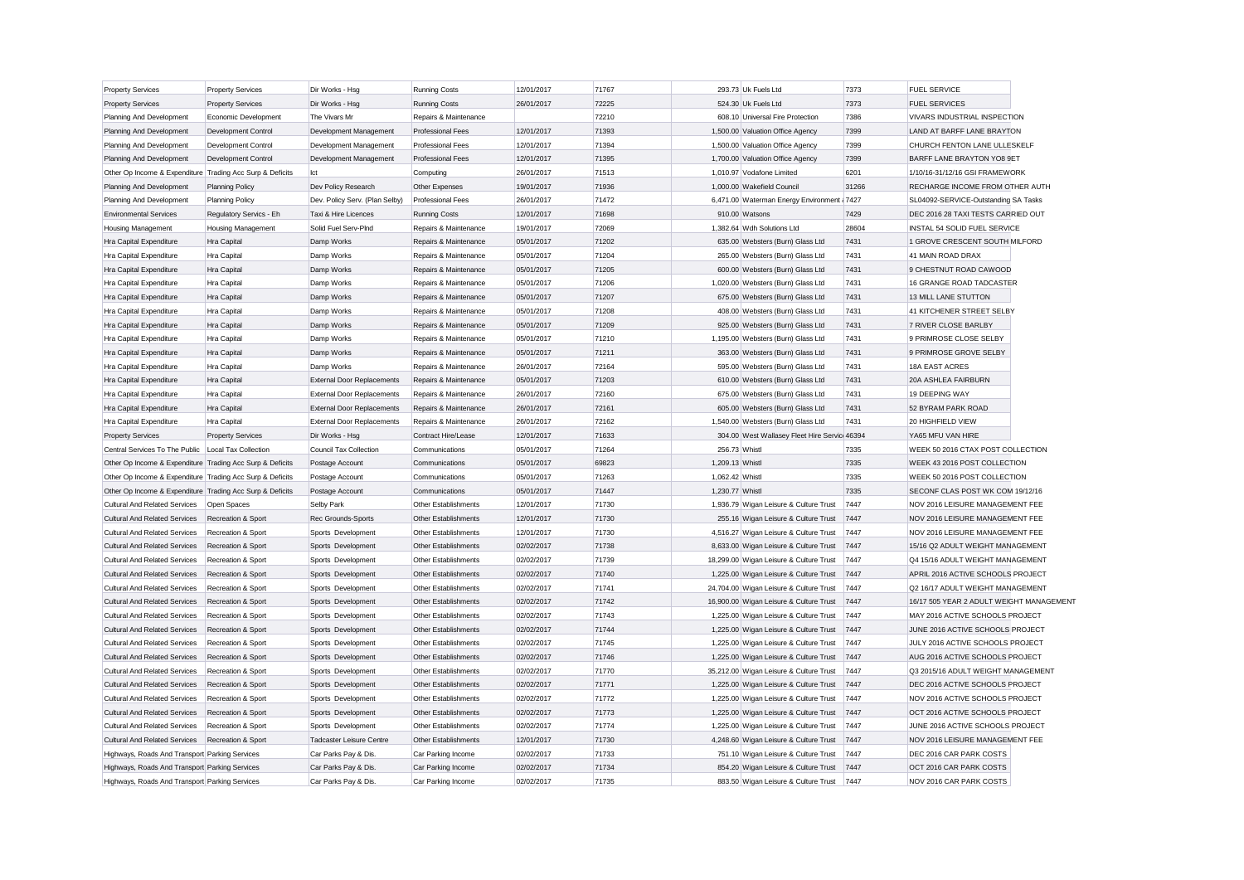| <b>Property Services</b>                                  | <b>Property Services</b>  | Dir Works - Hsg                   | <b>Running Costs</b>                                | 12/01/2017 | 71767 | 293.73 Uk Fuels Ltd                           | 7373  | <b>FUEL SERVICE</b>                      |  |
|-----------------------------------------------------------|---------------------------|-----------------------------------|-----------------------------------------------------|------------|-------|-----------------------------------------------|-------|------------------------------------------|--|
| <b>Property Services</b>                                  | <b>Property Services</b>  | Dir Works - Hsg                   | <b>Running Costs</b>                                | 26/01/2017 | 72225 | 524.30 Uk Fuels Ltd                           | 7373  | <b>FUEL SERVICES</b>                     |  |
| Planning And Development                                  | Economic Development      | The Vivars Mr                     | Repairs & Maintenance                               |            | 72210 | 608.10 Universal Fire Protection              | 7386  | VIVARS INDUSTRIAL INSPECTION             |  |
| Planning And Development                                  | Development Control       | Development Management            | Professional Fees                                   | 12/01/2017 | 71393 | 1,500.00 Valuation Office Agency              | 7399  | LAND AT BARFF LANE BRAYTON               |  |
| Planning And Development                                  | Development Control       | Development Management            | <b>Professional Fees</b>                            | 12/01/2017 | 71394 | 1,500.00 Valuation Office Agency              | 7399  | CHURCH FENTON LANE ULLESKELF             |  |
| Planning And Development                                  | Development Control       | Development Management            | <b>Professional Fees</b>                            | 12/01/2017 | 71395 | 1,700.00 Valuation Office Agency              | 7399  | BARFF LANE BRAYTON YO8 9ET               |  |
| Other Op Income & Expenditure Trading Acc Surp & Deficits |                           | Ict                               | Computing                                           | 26/01/2017 | 71513 | 1,010.97 Vodafone Limited                     | 6201  | 1/10/16-31/12/16 GSI FRAMEWORK           |  |
| Planning And Development                                  | <b>Planning Policy</b>    | Dev Policy Research               | Other Expenses                                      | 19/01/2017 | 71936 | 1,000.00 Wakefield Council                    | 31266 | RECHARGE INCOME FROM OTHER AUTH          |  |
| Planning And Development                                  | Planning Policy           | Dev. Policy Serv. (Plan Selby)    | <b>Professional Fees</b>                            | 26/01/2017 | 71472 | 6,471.00 Waterman Energy Environment (7427    |       | SL04092-SERVICE-Outstanding SA Tasks     |  |
| <b>Environmental Services</b>                             | Regulatory Servics - Eh   | Taxi & Hire Licences              | <b>Running Costs</b>                                | 12/01/2017 | 71698 | 910.00 Watsons                                | 7429  | DEC 2016 28 TAXI TESTS CARRIED OUT       |  |
| <b>Housing Management</b>                                 | <b>Housing Management</b> | Solid Fuel Serv-PInd              | Repairs & Maintenance                               | 19/01/2017 | 72069 | 1,382.64 Wdh Solutions Ltd                    | 28604 | INSTAL 54 SOLID FUEL SERVICE             |  |
| Hra Capital Expenditure                                   | Hra Capital               | Damp Works                        | Repairs & Maintenance                               | 05/01/2017 | 71202 | 635.00 Websters (Burn) Glass Ltd              | 7431  | 1 GROVE CRESCENT SOUTH MILFORD           |  |
| Hra Capital Expenditure                                   | Hra Capital               | Damp Works                        | Repairs & Maintenance                               | 05/01/2017 | 71204 | 265.00 Websters (Burn) Glass Ltd              | 7431  | 41 MAIN ROAD DRAX                        |  |
| Hra Capital Expenditure                                   | Hra Capital               | Damp Works                        | Repairs & Maintenance                               | 05/01/2017 | 71205 | 600.00 Websters (Burn) Glass Ltd              | 7431  | 9 CHESTNUT ROAD CAWOOD                   |  |
| Hra Capital Expenditure                                   | Hra Capital               | Damp Works                        | Repairs & Maintenance                               | 05/01/2017 | 71206 | 1,020.00 Websters (Burn) Glass Ltd            | 7431  | 16 GRANGE ROAD TADCASTER                 |  |
| Hra Capital Expenditure                                   | Hra Capital               | Damp Works                        | Repairs & Maintenance                               | 05/01/2017 | 71207 | 675.00 Websters (Burn) Glass Ltd              | 7431  | 13 MILL LANE STUTTON                     |  |
| Hra Capital Expenditure                                   | Hra Capital               | Damp Works                        | Repairs & Maintenance                               | 05/01/2017 | 71208 | 408.00 Websters (Burn) Glass Ltd              | 7431  | 41 KITCHENER STREET SELBY                |  |
| Hra Capital Expenditure                                   | Hra Capital               | Damp Works                        | Repairs & Maintenance                               | 05/01/2017 | 71209 | 925.00 Websters (Burn) Glass Ltd              | 7431  | 7 RIVER CLOSE BARLBY                     |  |
| Hra Capital Expenditure                                   | Hra Capital               | Damp Works                        | Repairs & Maintenance                               | 05/01/2017 | 71210 | 1,195.00 Websters (Burn) Glass Ltd            | 7431  | 9 PRIMROSE CLOSE SELBY                   |  |
| Hra Capital Expenditure                                   | <b>Hra Capital</b>        | Damp Works                        | Repairs & Maintenance                               | 05/01/2017 | 71211 | 363.00 Websters (Burn) Glass Ltd              | 7431  | 9 PRIMROSE GROVE SELBY                   |  |
| Hra Capital Expenditure                                   | Hra Capital               | Damp Works                        | Repairs & Maintenance                               | 26/01/2017 | 72164 | 595.00 Websters (Burn) Glass Ltd              | 7431  | 18A EAST ACRES                           |  |
| Hra Capital Expenditure                                   | <b>Hra Capital</b>        | <b>External Door Replacements</b> | Repairs & Maintenance                               | 05/01/2017 | 71203 | 610.00 Websters (Burn) Glass Ltd              | 7431  | <b>20A ASHLEA FAIRBURN</b>               |  |
| Hra Capital Expenditure                                   | Hra Capital               | <b>External Door Replacements</b> | Repairs & Maintenance                               | 26/01/2017 | 72160 | 675.00 Websters (Burn) Glass Ltd              | 7431  | 19 DEEPING WAY                           |  |
| Hra Capital Expenditure                                   | Hra Capital               | <b>External Door Replacements</b> | Repairs & Maintenance                               | 26/01/2017 | 72161 | 605.00 Websters (Burn) Glass Ltd              | 7431  | 52 BYRAM PARK ROAD                       |  |
| Hra Capital Expenditure                                   | Hra Capital               | <b>External Door Replacements</b> | Repairs & Maintenance                               | 26/01/2017 | 72162 | 1,540.00 Websters (Burn) Glass Ltd            | 7431  | 20 HIGHFIELD VIEW                        |  |
| <b>Property Services</b>                                  | <b>Property Services</b>  | Dir Works - Hsg                   | Contract Hire/Lease                                 | 12/01/2017 | 71633 | 304.00 West Wallasey Fleet Hire Servici 46394 |       | YA65 MFU VAN HIRE                        |  |
| Central Services To The Public   Local Tax Collection     |                           | Council Tax Collection            | Communications                                      | 05/01/2017 | 71264 | 256.73 Whistl                                 | 7335  | WEEK 50 2016 CTAX POST COLLECTION        |  |
| Other Op Income & Expenditure Trading Acc Surp & Deficits |                           | Postage Account                   | Communications                                      | 05/01/2017 | 69823 | 1,209.13 Whistl                               | 7335  | WEEK 43 2016 POST COLLECTION             |  |
| Other Op Income & Expenditure Trading Acc Surp & Deficits |                           | Postage Account                   | Communications                                      | 05/01/2017 | 71263 | 1.062.42 Whist                                | 7335  | WEEK 50 2016 POST COLLECTION             |  |
| Other Op Income & Expenditure Trading Acc Surp & Deficits |                           | Postage Account                   | Communications                                      | 05/01/2017 | 71447 | 1,230.77 Whistl                               | 7335  | SECONF CLAS POST WK COM 19/12/16         |  |
| <b>Cultural And Related Services</b>                      | Open Spaces               | Selby Park                        | Other Establishments                                | 12/01/2017 | 71730 | 1,936.79 Wigan Leisure & Culture Trust        | 7447  | NOV 2016 LEISURE MANAGEMENT FEE          |  |
| <b>Cultural And Related Services</b>                      | Recreation & Sport        | Rec Grounds-Sports                | Other Establishments                                | 12/01/2017 | 71730 | 255.16 Wigan Leisure & Culture Trust          | 7447  | NOV 2016 LEISURE MANAGEMENT FEE          |  |
| <b>Cultural And Related Services</b>                      | Recreation & Sport        | Sports Development                | Other Establishments                                | 12/01/2017 | 71730 | 4,516.27 Wigan Leisure & Culture Trust        | 7447  | NOV 2016 LEISURE MANAGEMENT FEE          |  |
| <b>Cultural And Related Services</b>                      | Recreation & Sport        | Sports Development                | Other Establishments                                | 02/02/2017 | 71738 | 8,633.00 Wigan Leisure & Culture Trust        | 7447  | 15/16 Q2 ADULT WEIGHT MANAGEMENT         |  |
| <b>Cultural And Related Services</b>                      | Recreation & Sport        | Sports Development                | Other Establishments                                | 02/02/2017 | 71739 | 18,299.00 Wigan Leisure & Culture Trust       | 7447  | Q4 15/16 ADULT WEIGHT MANAGEMENT         |  |
| <b>Cultural And Related Services</b>                      | Recreation & Sport        | Sports Development                | Other Establishments                                | 02/02/2017 | 71740 | 1,225.00 Wigan Leisure & Culture Trust        | 7447  | APRIL 2016 ACTIVE SCHOOLS PROJECT        |  |
| <b>Cultural And Related Services</b>                      | Recreation & Sport        | Sports Development                | Other Establishments                                | 02/02/2017 | 71741 | 24,704.00 Wigan Leisure & Culture Trust       | 7447  | Q2 16/17 ADULT WEIGHT MANAGEMENT         |  |
| <b>Cultural And Related Services</b>                      | Recreation & Sport        | Sports Development                | Other Establishments                                | 02/02/2017 | 71742 | 16,900.00 Wigan Leisure & Culture Trust       | 7447  | 16/17 505 YEAR 2 ADULT WEIGHT MANAGEMENT |  |
| <b>Cultural And Related Services</b>                      | Recreation & Sport        | Sports Development                | Other Establishments                                | 02/02/2017 | 71743 | 1,225.00 Wigan Leisure & Culture Trust        | 7447  | MAY 2016 ACTIVE SCHOOLS PROJECT          |  |
| <b>Cultural And Related Services</b>                      | Recreation & Sport        | Sports Development                | Other Establishments                                | 02/02/2017 | 71744 | 1,225.00 Wigan Leisure & Culture Trust        | 7447  | JUNE 2016 ACTIVE SCHOOLS PROJECT         |  |
| Cultural And Related Services                             | Recreation & Sport        | Sports Development                | Other Establishments                                | 02/02/2017 | 71745 | 1,225.00 Wigan Leisure & Culture Trust        | 7447  | JULY 2016 ACTIVE SCHOOLS PROJECT         |  |
| <b>Cultural And Related Services</b>                      | Recreation & Sport        | Sports Development                | Other Establishments                                | 02/02/2017 | 71746 | 1,225.00 Wigan Leisure & Culture Trust        | 7447  | AUG 2016 ACTIVE SCHOOLS PROJECT          |  |
| <b>Cultural And Related Services</b>                      | Recreation & Sport        | Sports Development                | Other Establishments                                | 02/02/2017 | 71770 | 35,212.00 Wigan Leisure & Culture Trust       | 7447  | Q3 2015/16 ADULT WEIGHT MANAGEMENT       |  |
| <b>Cultural And Related Services</b>                      |                           |                                   | Other Establishments                                | 02/02/2017 | 71771 | 1,225.00 Wigan Leisure & Culture Trust        | 7447  | DEC 2016 ACTIVE SCHOOLS PROJECT          |  |
|                                                           | Recreation & Sport        | Sports Development                |                                                     | 02/02/2017 | 71772 | 1,225.00 Wigan Leisure & Culture Trust        | 7447  | NOV 2016 ACTIVE SCHOOLS PROJECT          |  |
| <b>Cultural And Related Services</b>                      | Recreation & Sport        | Sports Development                | Other Establishments<br><b>Other Establishments</b> |            |       |                                               | 7447  |                                          |  |
| <b>Cultural And Related Services</b>                      | Recreation & Sport        | Sports Development                |                                                     | 02/02/2017 | 71773 | 1,225.00 Wigan Leisure & Culture Trust        |       | OCT 2016 ACTIVE SCHOOLS PROJECT          |  |
| <b>Cultural And Related Services</b>                      | Recreation & Sport        | Sports Development                | Other Establishments                                | 02/02/2017 | 71774 | 1,225.00 Wigan Leisure & Culture Trust        | 7447  | JUNE 2016 ACTIVE SCHOOLS PROJECT         |  |
| <b>Cultural And Related Services</b>                      | Recreation & Sport        | <b>Tadcaster Leisure Centre</b>   | Other Establishments                                | 12/01/2017 | 71730 | 4,248.60 Wigan Leisure & Culture Trust        | 7447  | NOV 2016 LEISURE MANAGEMENT FEE          |  |
| Highways, Roads And Transport Parking Services            |                           | Car Parks Pay & Dis.              | Car Parking Income                                  | 02/02/2017 | 71733 | 751.10 Wigan Leisure & Culture Trust          | 7447  | DEC 2016 CAR PARK COSTS                  |  |
| Highways, Roads And Transport Parking Services            |                           | Car Parks Pay & Dis.              | Car Parking Income                                  | 02/02/2017 | 71734 | 854.20 Wigan Leisure & Culture Trust          | 7447  | OCT 2016 CAR PARK COSTS                  |  |
| Highways, Roads And Transport Parking Services            |                           | Car Parks Pav & Dis.              | Car Parking Income                                  | 02/02/2017 | 71735 | 883.50 Wigan Leisure & Culture Trust          | 7447  | NOV 2016 CAR PARK COSTS                  |  |